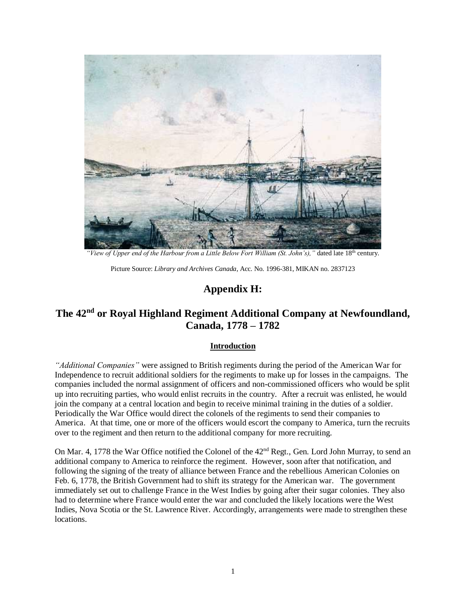

*"View of Upper end of the Harbour from a Little Below Fort William (St. John's),"* dated late 18th century.

Picture Source: *Library and Archives Canada*, Acc. No. 1996-381, MIKAN no. 2837123

# **Appendix H:**

# **The 42nd or Royal Highland Regiment Additional Company at Newfoundland, Canada, 1778 – 1782**

#### **Introduction**

*"Additional Companies"* were assigned to British regiments during the period of the American War for Independence to recruit additional soldiers for the regiments to make up for losses in the campaigns. The companies included the normal assignment of officers and non-commissioned officers who would be split up into recruiting parties, who would enlist recruits in the country. After a recruit was enlisted, he would join the company at a central location and begin to receive minimal training in the duties of a soldier. Periodically the War Office would direct the colonels of the regiments to send their companies to America. At that time, one or more of the officers would escort the company to America, turn the recruits over to the regiment and then return to the additional company for more recruiting.

On Mar. 4, 1778 the War Office notified the Colonel of the  $42<sup>nd</sup>$  Regt., Gen. Lord John Murray, to send an additional company to America to reinforce the regiment. However, soon after that notification, and following the signing of the treaty of alliance between France and the rebellious American Colonies on Feb. 6, 1778, the British Government had to shift its strategy for the American war. The government immediately set out to challenge France in the West Indies by going after their sugar colonies. They also had to determine where France would enter the war and concluded the likely locations were the West Indies, Nova Scotia or the St. Lawrence River. Accordingly, arrangements were made to strengthen these locations.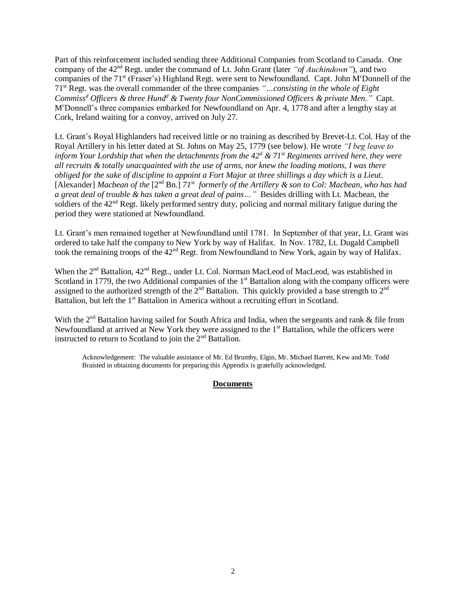Part of this reinforcement included sending three Additional Companies from Scotland to Canada. One company of the 42nd Regt. under the command of Lt. John Grant (later *"of Auchindown"*), and two companies of the 71<sup>st</sup> (Fraser's) Highland Regt. were sent to Newfoundland. Capt. John M<sup>c</sup>Donnell of the 71st Regt. was the overall commander of the three companies *"…consisting in the whole of Eight Commiss<sup>d</sup> Officers & three Hund<sup>d</sup> & Twenty four NonCommissioned Officers & private Men."* Capt. M<sup>c</sup>Donnell's three companies embarked for Newfoundland on Apr. 4, 1778 and after a lengthy stay at Cork, Ireland waiting for a convoy, arrived on July 27.

Lt. Grant's Royal Highlanders had received little or no training as described by Brevet-Lt. Col. Hay of the Royal Artillery in his letter dated at St. Johns on May 25, 1779 (see below). He wrote *"I beg leave to inform Your Lordship that when the detachments from the 42<sup>d</sup> & 71st Regiments arrived here, they were all recruits & totally unacquainted with the use of arms, nor knew the loading motions, I was there obliged for the sake of discipline to appoint a Fort Major at three shillings a day which is a Lieut.* [Alexander] *Macbean of the* [2<sup>nd</sup> Bn.]  $71^{st}$  *formerly of the Artillery & son to Col: Macbean, who has had a great deal of trouble & has taken a great deal of pains…"* Besides drilling with Lt. Macbean, the soldiers of the  $42<sup>nd</sup>$  Regt. likely performed sentry duty, policing and normal military fatigue during the period they were stationed at Newfoundland.

Lt. Grant's men remained together at Newfoundland until 1781. In September of that year, Lt. Grant was ordered to take half the company to New York by way of Halifax. In Nov. 1782, Lt. Dugald Campbell took the remaining troops of the 42<sup>nd</sup> Regt. from Newfoundland to New York, again by way of Halifax.

When the 2<sup>nd</sup> Battalion, 42<sup>nd</sup> Regt., under Lt. Col. Norman MacLeod of MacLeod, was established in Scotland in 1779, the two Additional companies of the  $1<sup>st</sup>$  Battalion along with the company officers were assigned to the authorized strength of the  $2<sup>nd</sup>$  Battalion. This quickly provided a base strength to  $2<sup>nd</sup>$ Battalion, but left the 1<sup>st</sup> Battalion in America without a recruiting effort in Scotland.

With the 2<sup>nd</sup> Battalion having sailed for South Africa and India, when the sergeants and rank & file from Newfoundland at arrived at New York they were assigned to the 1<sup>st</sup> Battalion, while the officers were instructed to return to Scotland to join the  $2<sup>nd</sup>$  Battalion.

Acknowledgement: The valuable assistance of Mr. Ed Brumby, Elgin, Mr. Michael Barrett, Kew and Mr. Todd Braisted in obtaining documents for preparing this Appendix is gratefully acknowledged.

## **Documents**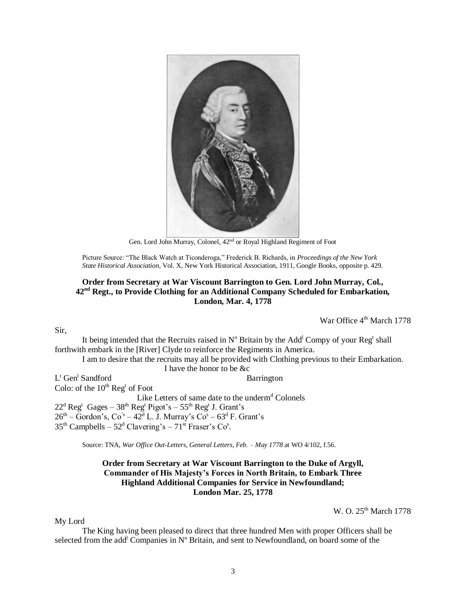

Gen. Lord John Murray, Colonel, 42nd or Royal Highland Regiment of Foot

Picture Source: "The Black Watch at Ticonderoga," Frederick B. Richards, in *Proceedings of the New York State Historical Association*, Vol. X, New York Historical Association, 1911, Google Books, opposite p. 429.

# **Order from Secretary at War Viscount Barrington to Gen. Lord John Murray, Col., 42nd Regt., to Provide Clothing for an Additional Company Scheduled for Embarkation, London, Mar. 4, 1778**

War Office 4<sup>th</sup> March 1778

Sir,

My Lord

It being intended that the Recruits raised in  $N^{\circ}$  Britain by the Add<sup>1</sup> Compy of your Reg<sup>t</sup> shall forthwith embark in the [River] Clyde to reinforce the Regiments in America.

I am to desire that the recruits may all be provided with Clothing previous to their Embarkation. I have the honor to be &c

L<sup>t</sup> Gen<sup>1</sup> Sandford Barrington Colo: of the  $10^{th}$  Reg<sup>t</sup> of Foot Like Letters of same date to the underm<sup>d</sup> Colonels  $22<sup>d</sup>$  Reg<sup>t</sup> Gages –  $38<sup>th</sup>$  Reg<sup>t</sup> Pigot's –  $55<sup>th</sup>$  Reg<sup>t</sup> J. Grant's  $26<sup>th</sup>$  – Gordon's, Co<sup>'s</sup> – 42<sup>d</sup> L. J. Murray's Co<sup>s</sup> – 63<sup>d</sup> F. Grant's  $35<sup>th</sup>$  Campbells –  $52<sup>d</sup>$  Clavering's –  $71<sup>st</sup>$  Fraser's Co<sup>s</sup>.

Source: TNA, *War Office Out-Letters, General Letters, Feb. – May 1778* at WO 4/102, f.56.

## **Order from Secretary at War Viscount Barrington to the Duke of Argyll, Commander of His Majesty's Forces in North Britain, to Embark Three Highland Additional Companies for Service in Newfoundland; London Mar. 25, 1778**

W. O. 25<sup>th</sup> March 1778

The King having been pleased to direct that three hundred Men with proper Officers shall be selected from the add<sup>1</sup> Companies in  $N^{\circ}$  Britain, and sent to Newfoundland, on board some of the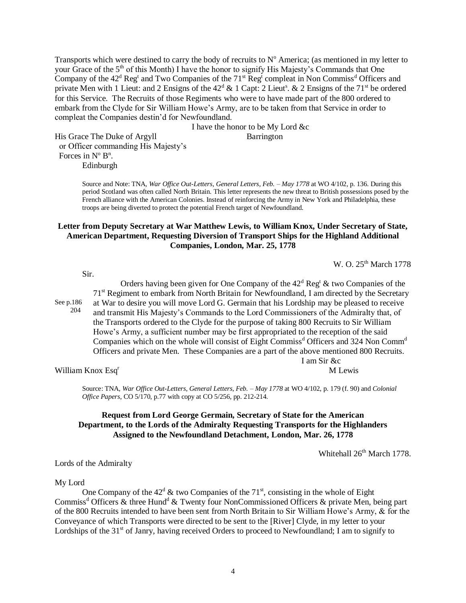Transports which were destined to carry the body of recruits to  $N^{\circ}$  America; (as mentioned in my letter to your Grace of the 5<sup>th</sup> of this Month) I have the honor to signify His Majesty's Commands that One Company of the  $42<sup>d</sup>$  Reg<sup>t</sup> and Two Companies of the  $71<sup>st</sup>$  Reg<sup>t</sup> compleat in Non Commiss<sup>d</sup> Officers and private Men with 1 Lieut: and 2 Ensigns of the  $42<sup>d</sup>$  & 1 Capt: 2 Lieut<sup>s</sup>. & 2 Ensigns of the  $71<sup>st</sup>$  be ordered for this Service. The Recruits of those Regiments who were to have made part of the 800 ordered to embark from the Clyde for Sir William Howe's Army, are to be taken from that Service in order to compleat the Companies destin'd for Newfoundland.

I have the honor to be My Lord &c

His Grace The Duke of Argyll Barrington or Officer commanding His Majesty's Forces in  $N^{\circ} B^{n}$ . Edinburgh

> Source and Note: TNA, *War Office Out-Letters, General Letters, Feb. – May 1778* at WO 4/102, p. 136. During this period Scotland was often called North Britain. This letter represents the new threat to British possessions posed by the French alliance with the American Colonies. Instead of reinforcing the Army in New York and Philadelphia, these troops are being diverted to protect the potential French target of Newfoundland.

## **Letter from Deputy Secretary at War Matthew Lewis, to William Knox, Under Secretary of State, American Department, Requesting Diversion of Transport Ships for the Highland Additional Companies, London, Mar. 25, 1778**

W. O. 25<sup>th</sup> March 1778

Sir.

See p.186

204

Orders having been given for One Company of the  $42<sup>d</sup>$  Reg<sup>t</sup> & two Companies of the 71<sup>st</sup> Regiment to embark from North Britain for Newfoundland, I am directed by the Secretary at War to desire you will move Lord G. Germain that his Lordship may be pleased to receive and transmit His Majesty's Commands to the Lord Commissioners of the Admiralty that, of the Transports ordered to the Clyde for the purpose of taking 800 Recruits to Sir William Howe's Army, a sufficient number may be first appropriated to the reception of the said Companies which on the whole will consist of Eight Commiss<sup>d</sup> Officers and 324 Non Comm<sup>d</sup> Officers and private Men. These Companies are a part of the above mentioned 800 Recruits. I am Sir &c

William Knox Esq<sup>r</sup> M Lewis

Source: TNA, *War Office Out-Letters, General Letters, Feb. – May 1778* at WO 4/102, p. 179 (f. 90) and *Colonial Office Papers*, CO 5/170, p.77 with copy at CO 5/256, pp. 212-214.

# **Request from Lord George Germain, Secretary of State for the American Department, to the Lords of the Admiralty Requesting Transports for the Highlanders Assigned to the Newfoundland Detachment, London, Mar. 26, 1778**

Whitehall  $26<sup>th</sup>$  March 1778.

Lords of the Admiralty

#### My Lord

One Company of the  $42^d$  & two Companies of the  $71<sup>st</sup>$ , consisting in the whole of Eight Commiss<sup>d</sup> Officers & three Hund<sup>d</sup> & Twenty four NonCommissioned Officers & private Men, being part of the 800 Recruits intended to have been sent from North Britain to Sir William Howe's Army, & for the Conveyance of which Transports were directed to be sent to the [River] Clyde, in my letter to your Lordships of the  $31<sup>st</sup>$  of Janry, having received Orders to proceed to Newfoundland; I am to signify to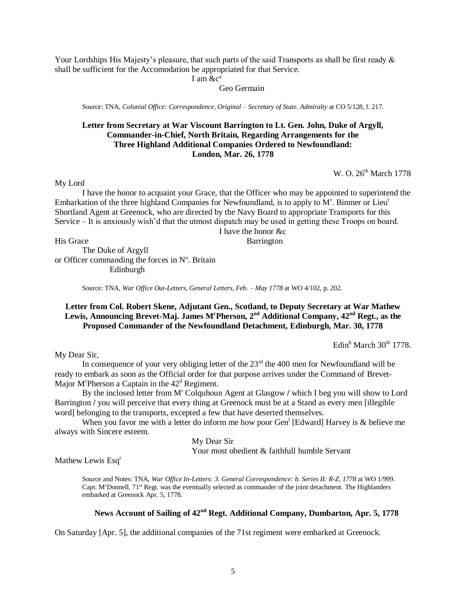Your Lordships His Majesty's pleasure, that such parts of the said Transports as shall be first ready  $\&$ shall be sufficient for the Accomodation be appropriated for that Service.

I am  $\&c^a$ 

Geo Germain

Source: TNA, *Colonial Office: Correspondence, Original – Secretary of State. Admiralty* at CO 5/128, f. 217.

# **Letter from Secretary at War Viscount Barrington to Lt. Gen. John, Duke of Argyll, Commander-in-Chief, North Britain, Regarding Arrangements for the Three Highland Additional Companies Ordered to Newfoundland: London, Mar. 26, 1778**

W. O. 26<sup>th</sup> March 1778

My Lord

I have the honor to acquaint your Grace, that the Officer who may be appointed to superintend the Embarkation of the three highland Companies for Newfoundland, is to apply to M<sup>r</sup>. Binmer or Lieu<sup>t</sup> Shortland Agent at Greenock, who are directed by the Navy Board to appropriate Transports for this Service – It is anxiously wish'd that the utmost dispatch may be used in getting these Troops on board. I have the honor &c

His Grace Barrington

The Duke of Argyll or Officer commanding the forces in  $N^{\circ}$ . Britain Edinburgh

Source: TNA, *War Office Out-Letters, General Letters, Feb. – May 1778* at WO 4/102, p. 202.

# **Letter from Col. Robert Skene, Adjutant Gen., Scotland, to Deputy Secretary at War Mathew Lewis, Announcing Brevet-Maj. James M<sup>c</sup>Pherson, 2 nd Additional Company, 42nd Regt., as the Proposed Commander of the Newfoundland Detachment, Edinburgh, Mar. 30, 1778**

Edin<sup>h</sup> March  $30<sup>th</sup>$  1778.

My Dear Sir,

In consequence of your very obliging letter of the  $23<sup>rd</sup>$  the 400 men for Newfoundland will be ready to embark as soon as the Official order for that purpose arrives under the Command of Brevet-Major M<sup>c</sup>Pherson a Captain in the  $42<sup>d</sup>$  Regiment.

By the inclosed letter from M<sup>r</sup> Colquhoun Agent at Glasgow / which I beg you will show to Lord Barrington **/** you will perceive that every thing at Greenock must be at a Stand as every men [illegible word] belonging to the transports, excepted a few that have deserted themselves.

When you favor me with a letter do inform me how poor Gen<sup>1</sup> [Edward] Harvey is & believe me always with Sincere esteem.

> My Dear Sir Your most obedient & faithfull humble Servant

Mathew Lewis Esq<sup>r</sup>

Source and Notes: TNA, *War Office In-Letters: 3. General Correspondence: b. Series II: R-Z, 1778* at WO 1/999. Capt. M<sup>c</sup>Donnell, 71<sup>st</sup> Regt. was the eventually selected as commander of the joint detachment. The Highlanders embarked at Greenock Apr. 5, 1778.

# **News Account of Sailing of 42nd Regt. Additional Company, Dumbarton, Apr. 5, 1778**

On Saturday [Apr. 5], the additional companies of the 71st regiment were embarked at Greenock.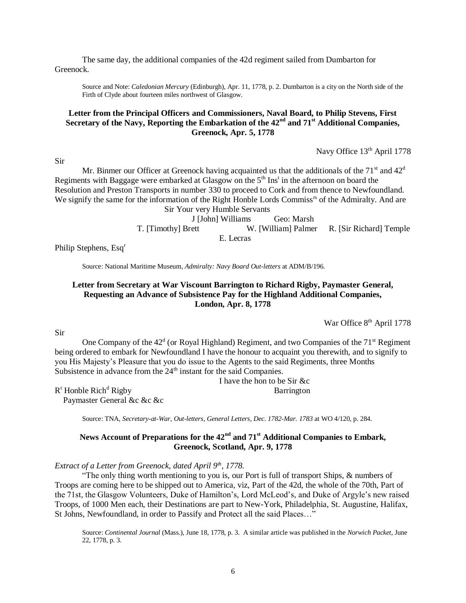The same day, the additional companies of the 42d regiment sailed from Dumbarton for Greenock.

Source and Note: *Caledonian Mercury* (Edinburgh), Apr. 11, 1778, p. 2. Dumbarton is a city on the North side of the Firth of Clyde about fourteen miles northwest of Glasgow.

## **Letter from the Principal Officers and Commissioners, Naval Board, to Philip Stevens, First Secretary of the Navy, Reporting the Embarkation of the 42nd and 71st Additional Companies, Greenock, Apr. 5, 1778**

Navy Office 13<sup>th</sup> April 1778

Sir

Mr. Binmer our Officer at Greenock having acquainted us that the additionals of the  $71<sup>st</sup>$  and  $42<sup>d</sup>$ Regiments with Baggage were embarked at Glasgow on the  $5<sup>th</sup>$  Ins<sup>t</sup> in the afternoon on board the Resolution and Preston Transports in number 330 to proceed to Cork and from thence to Newfoundland. We signify the same for the information of the Right Honble Lords Commiss<sup>rs</sup> of the Admiralty. And are Sir Your very Humble Servants

J [John] Williams Geo: Marsh T. [Timothy] Brett W. [William] Palmer R. [Sir Richard] Temple E. Lecras

Philip Stephens, Esq<sup>r</sup>

Source: National Maritime Museum, *Admiralty: Navy Board Out-letters* at ADM/B/196.

# **Letter from Secretary at War Viscount Barrington to Richard Rigby, Paymaster General, Requesting an Advance of Subsistence Pay for the Highland Additional Companies, London, Apr. 8, 1778**

War Office 8<sup>th</sup> April 1778

One Company of the  $42<sup>d</sup>$  (or Royal Highland) Regiment, and two Companies of the  $71<sup>st</sup>$  Regiment being ordered to embark for Newfoundland I have the honour to acquaint you therewith, and to signify to you His Majesty's Pleasure that you do issue to the Agents to the said Regiments, three Months Subsistence in advance from the 24<sup>th</sup> instant for the said Companies.

I have the hon to be Sir &c

 $R<sup>t</sup>$  Honble Rich<sup>d</sup> Rigby Barrington

Paymaster General &c &c &c

Source: TNA, *Secretary-at-War, Out-letters, General Letters, Dec. 1782-Mar. 1783* at WO 4/120, p. 284.

# **News Account of Preparations for the 42nd and 71st Additional Companies to Embark, Greenock, Scotland, Apr. 9, 1778**

*Extract of a Letter from Greenock, dated April 9th, 1778.*

"The only thing worth mentioning to you is, our Port is full of transport Ships, & numbers of Troops are coming here to be shipped out to America, viz, Part of the 42d, the whole of the 70th, Part of the 71st, the Glasgow Volunteers, Duke of Hamilton's, Lord McLeod's, and Duke of Argyle's new raised Troops, of 1000 Men each, their Destinations are part to New-York, Philadelphia, St. Augustine, Halifax, St Johns, Newfoundland, in order to Passify and Protect all the said Places…"

Source: *Continental Journal* (Mass.), June 18, 1778, p. 3. A similar article was published in the *Norwich Packet*, June 22, 1778, p. 3.

Sir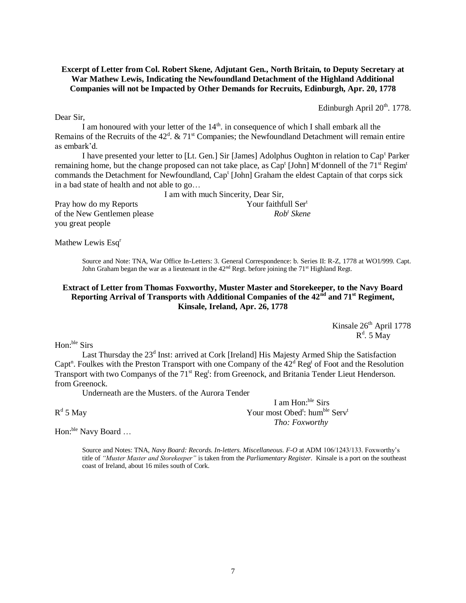**Excerpt of Letter from Col. Robert Skene, Adjutant Gen., North Britain, to Deputy Secretary at War Mathew Lewis, Indicating the Newfoundland Detachment of the Highland Additional Companies will not be Impacted by Other Demands for Recruits, Edinburgh, Apr. 20, 1778**

Edinburgh April  $20<sup>th</sup>$ . 1778.

I am honoured with your letter of the  $14<sup>th</sup>$ . in consequence of which I shall embark all the Remains of the Recruits of the  $42^d$ . &  $71^{\text{st}}$  Companies; the Newfoundland Detachment will remain entire as embark'd.

I have presented your letter to [Lt. Gen.] Sir [James] Adolphus Oughton in relation to Cap<sup>t</sup> Parker remaining home, but the change proposed can not take place, as  $Cap<sup>t</sup>$  [John] M<sup>c</sup>donnell of the 71<sup>st</sup> Regim<sup>t</sup> commands the Detachment for Newfoundland, Cap<sup>t</sup> [John] Graham the eldest Captain of that corps sick in a bad state of health and not able to go…

I am with much Sincerity, Dear Sir,

Pray how do my Reports Your faithfull Ser<sup>t</sup> of the New Gentlemen please *Rob<sup>t</sup> Skene* you great people

Mathew Lewis Esq<sup>r</sup>

Source and Note: TNA, War Office In-Letters: 3. General Correspondence: b. Series II: R-Z, 1778 at WO1/999. Capt. John Graham began the war as a lieutenant in the  $42<sup>nd</sup>$  Regt. before joining the 71<sup>st</sup> Highland Regt.

# **Extract of Letter from Thomas Foxworthy, Muster Master and Storekeeper, to the Navy Board Reporting Arrival of Transports with Additional Companies of the 42nd and 71st Regiment, Kinsale, Ireland, Apr. 26, 1778**

Kinsale 26<sup>th</sup> April 1778  $R^d$ . 5 May

Hon:ble Sirs

Last Thursday the 23<sup>d</sup> Inst: arrived at Cork [Ireland] His Majesty Armed Ship the Satisfaction Capt<sup>n</sup>. Foulkes with the Preston Transport with one Company of the  $42<sup>d</sup>$  Reg<sup>t</sup> of Foot and the Resolution Transport with two Companys of the 71<sup>st</sup> Reg<sup>t</sup>: from Greenock, and Britania Tender Lieut Henderson. from Greenock.

Underneath are the Musters. of the Aurora Tender

 $R^d$ 

Hon:<sup>ble</sup> Navy Board ...

Source and Notes: TNA, *Navy Board: Records. In-letters. Miscellaneous. F-O* at ADM 106/1243/133. Foxworthy's title of *"Muster Master and Storekeeper"* is taken from the *Parliamentary Register*. Kinsale is a port on the southeast coast of Ireland, about 16 miles south of Cork.

I am Hon:ble Sirs 5 May Your most Obed<sup>t</sup>: hum<sup>ble</sup> Serv<sup>t</sup> *Tho: Foxworthy*

Dear Sir,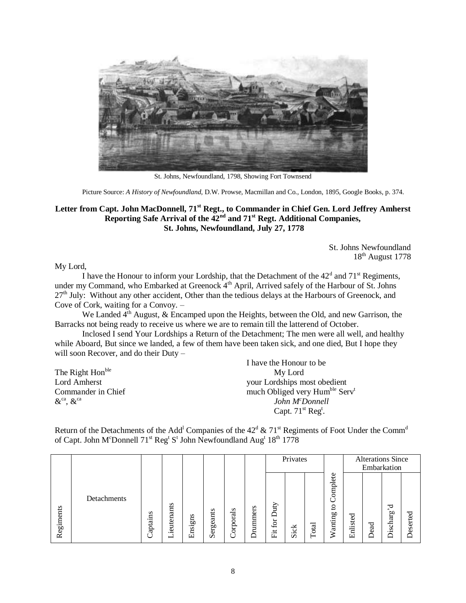

St. Johns, Newfoundland, 1798, Showing Fort Townsend

Picture Source: *A History of Newfoundland*, D.W. Prowse, Macmillan and Co., London, 1895, Google Books, p. 374.

## **Letter from Capt. John MacDonnell, 71st Regt., to Commander in Chief Gen. Lord Jeffrey Amherst Reporting Safe Arrival of the 42nd and 71st Regt. Additional Companies, St. Johns, Newfoundland, July 27, 1778**

St. Johns Newfoundland 18th August 1778

My Lord,

I have the Honour to inform your Lordship, that the Detachment of the  $42<sup>d</sup>$  and  $71<sup>st</sup>$  Regiments, under my Command, who Embarked at Greenock  $4<sup>th</sup>$  April, Arrived safely of the Harbour of St. Johns 27<sup>th</sup> July: Without any other accident, Other than the tedious delays at the Harbours of Greenock, and Cove of Cork, waiting for a Convoy. –

We Landed 4<sup>th</sup> August, & Encamped upon the Heights, between the Old, and new Garrison, the Barracks not being ready to receive us where we are to remain till the latterend of October.

Inclosed I send Your Lordships a Return of the Detachment; The men were all well, and healthy while Aboard, But since we landed, a few of them have been taken sick, and one died, But I hope they will soon Recover, and do their Duty –

|                                         | I have the Honour to be                                |
|-----------------------------------------|--------------------------------------------------------|
| The Right Hon <sup>ble</sup>            | My Lord                                                |
| Lord Amherst                            | your Lordships most obedient                           |
| Commander in Chief                      | much Obliged very Hum <sup>ble</sup> Serv <sup>t</sup> |
| $\&$ <sup>ca</sup> , $\&$ <sup>ca</sup> | John M <sup>c</sup> Donnell                            |
|                                         | Capt. $71st$ Reg <sup>t</sup> .                        |

Return of the Detachments of the Add<sup>1</sup> Companies of the  $42^d$  &  $71^{\text{st}}$  Regiments of Foot Under the Comm<sup>d</sup> of Capt. John M<sup>c</sup>Donnell 71<sup>st</sup> Reg<sup>t</sup> S<sup>t</sup> John Newfoundland Aug<sup>t</sup> 18<sup>th</sup> 1778

|           |             |                   |                 |         |           |                                |            |                               | Privates                                          |           |                                                       |                    |                                  | <b>Alterations Since</b><br>Embarkation |          |
|-----------|-------------|-------------------|-----------------|---------|-----------|--------------------------------|------------|-------------------------------|---------------------------------------------------|-----------|-------------------------------------------------------|--------------------|----------------------------------|-----------------------------------------|----------|
| Regiments | Detachments | s<br>aptains<br>Ü | ieutenants<br>ー | Ensigns | Sergeants | ds<br>ä<br>erp<br>$\mathbf{r}$ | s<br>ummer | yin<br>≏<br>⊢<br>යි<br>پ<br>闰 | 성<br>$\cdot$ $\overline{\phantom{a}}$<br>$\omega$ | otal<br>┕ | ete<br>plano<br>- 1<br>0<br>ت<br>60<br>⋴<br>anti<br>⋧ | ರ<br>ste<br>Ë<br>ш | ್ದ<br>$\circ$<br>$\sqrt{2}$<br>− | ರ<br>$\sim$<br>Discharg                 | Deserted |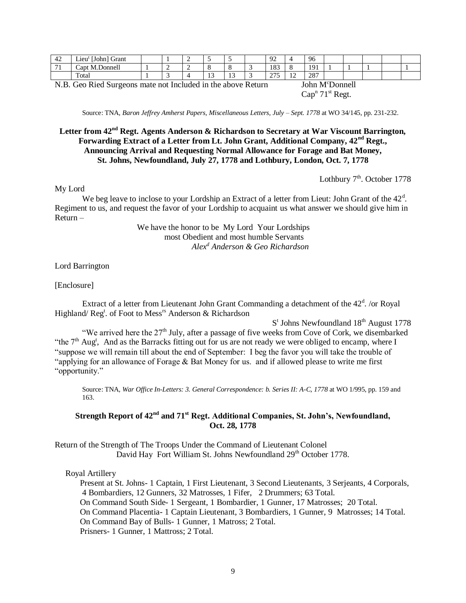| 44   | <b>FT 1</b><br>$\sim$<br>(John)<br>Grant<br>Lieu <sup>'</sup> |   |                     |                     | ഹ<br>ت                      |         | 96       |  |  |  |
|------|---------------------------------------------------------------|---|---------------------|---------------------|-----------------------------|---------|----------|--|--|--|
| $-1$ | Capt M.Donnell                                                | - |                     |                     | 183                         |         | 1Q1<br>. |  |  |  |
|      | Total                                                         |   | $\sim$<br><b>10</b> | $\sim$<br><b>IJ</b> | $\cap \neg \vdash$<br>- - - | -<br>-- | 287      |  |  |  |

N.B. Geo Ried Surgeons mate not Included in the above Return John M<sup>c</sup>Donnell

 $Cap<sup>n</sup> 71<sup>st</sup>$  Regt.

Source: TNA, *Baron Jeffrey Amherst Papers, Miscellaneous Letters, July – Sept. 1778* at WO 34/145, pp. 231-232.

# **Letter from 42nd Regt. Agents Anderson & Richardson to Secretary at War Viscount Barrington, Forwarding Extract of a Letter from Lt. John Grant, Additional Company, 42nd Regt., Announcing Arrival and Requesting Normal Allowance for Forage and Bat Money, St. Johns, Newfoundland, July 27, 1778 and Lothbury, London, Oct. 7, 1778**

Lothbury  $7<sup>th</sup>$ . October 1778

#### My Lord

We beg leave to inclose to your Lordship an Extract of a letter from Lieut: John Grant of the 42<sup>d</sup>. Regiment to us, and request the favor of your Lordship to acquaint us what answer we should give him in Return –

> We have the honor to be My Lord Your Lordships most Obedient and most humble Servants *Alex<sup>d</sup> Anderson & Geo Richardson*

#### Lord Barrington

#### [Enclosure]

Extract of a letter from Lieutenant John Grant Commanding a detachment of the  $42<sup>d</sup>$ . /or Royal Highland/ Reg<sup>t</sup>. of Foot to Mess<sup>rs</sup> Anderson & Richardson

S<sup>t</sup> Johns Newfoundland 18<sup>th</sup> August 1778 "We arrived here the 27th July, after a passage of five weeks from Cove of Cork, we disembarked "the  $7<sup>th</sup>$  Aug<sup>t</sup>, And as the Barracks fitting out for us are not ready we were obliged to encamp, where I "suppose we will remain till about the end of September: I beg the favor you will take the trouble of "applying for an allowance of Forage & Bat Money for us. and if allowed please to write me first "opportunity."

Source: TNA, *War Office In-Letters: 3. General Correspondence: b. Series II: A-C, 1778* at WO 1/995, pp. 159 and 163.

# **Strength Report of 42nd and 71st Regt. Additional Companies, St. John's, Newfoundland, Oct. 28, 1778**

Return of the Strength of The Troops Under the Command of Lieutenant Colonel David Hay Fort William St. Johns Newfoundland 29<sup>th</sup> October 1778.

#### Royal Artillery

 Present at St. Johns- 1 Captain, 1 First Lieutenant, 3 Second Lieutenants, 3 Serjeants, 4 Corporals, 4 Bombardiers, 12 Gunners, 32 Matrosses, 1 Fifer, 2 Drummers; 63 Total. On Command South Side- 1 Sergeant, 1 Bombardier, 1 Gunner, 17 Matrosses; 20 Total. On Command Placentia- 1 Captain Lieutenant, 3 Bombardiers, 1 Gunner, 9 Matrosses; 14 Total. On Command Bay of Bulls- 1 Gunner, 1 Matross; 2 Total. Prisners- 1 Gunner, 1 Mattross; 2 Total.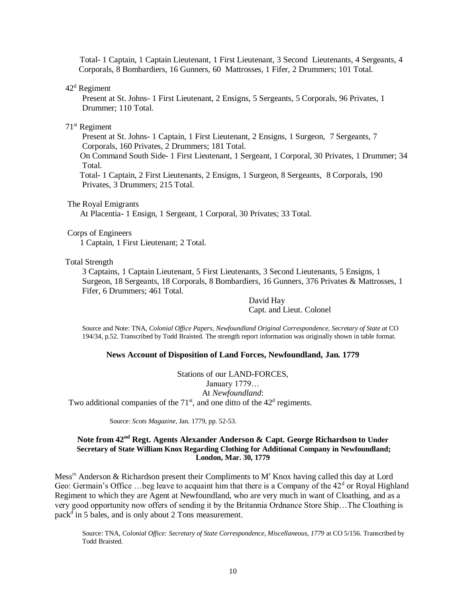Total- 1 Captain, 1 Captain Lieutenant, 1 First Lieutenant, 3 Second Lieutenants, 4 Sergeants, 4 Corporals, 8 Bombardiers, 16 Gunners, 60 Mattrosses, 1 Fifer, 2 Drummers; 101 Total.

 $42<sup>d</sup>$  Regiment

Present at St. Johns- 1 First Lieutenant, 2 Ensigns, 5 Sergeants, 5 Corporals, 96 Privates, 1 Drummer; 110 Total.

#### 71st Regiment

Present at St. Johns- 1 Captain, 1 First Lieutenant, 2 Ensigns, 1 Surgeon, 7 Sergeants, 7 Corporals, 160 Privates, 2 Drummers; 181 Total.

 On Command South Side- 1 First Lieutenant, 1 Sergeant, 1 Corporal, 30 Privates, 1 Drummer; 34 Total.

 Total- 1 Captain, 2 First Lieutenants, 2 Ensigns, 1 Surgeon, 8 Sergeants, 8 Corporals, 190 Privates, 3 Drummers; 215 Total.

The Royal Emigrants

At Placentia- 1 Ensign, 1 Sergeant, 1 Corporal, 30 Privates; 33 Total.

#### Corps of Engineers

1 Captain, 1 First Lieutenant; 2 Total.

#### Total Strength

3 Captains, 1 Captain Lieutenant, 5 First Lieutenants, 3 Second Lieutenants, 5 Ensigns, 1 Surgeon, 18 Sergeants, 18 Corporals, 8 Bombardiers, 16 Gunners, 376 Privates & Mattrosses, 1 Fifer, 6 Drummers; 461 Total.

> David Hay Capt. and Lieut. Colonel

Source and Note: TNA, *Colonial Office Papers, Newfoundland Original Correspondence, Secretary of State at* CO 194/34, p.52. Transcribed by Todd Braisted. The strength report information was originally shown in table format.

#### **News Account of Disposition of Land Forces, Newfoundland, Jan. 1779**

Stations of our LAND-FORCES, January 1779… At *Newfoundland*: Two additional companies of the  $71<sup>st</sup>$ , and one ditto of the  $42<sup>d</sup>$  regiments.

Source: *Scots Magazine*, Jan. 1779, pp. 52-53.

#### **Note from 42nd Regt. Agents Alexander Anderson & Capt. George Richardson to Under Secretary of State William Knox Regarding Clothing for Additional Company in Newfoundland; London, Mar. 30, 1779**

Mess<sup>rs</sup> Anderson & Richardson present their Compliments to  $M<sup>r</sup>$  Knox having called this day at Lord Geo: Germain's Office ...beg leave to acquaint him that there is a Company of the  $42<sup>d</sup>$  or Royal Highland Regiment to which they are Agent at Newfoundland, who are very much in want of Cloathing, and as a very good opportunity now offers of sending it by the Britannia Ordnance Store Ship…The Cloathing is pack<sup>d</sup> in 5 bales, and is only about 2 Tons measurement.

Source: TNA, *Colonial Office: Secretary of State Correspondence, Miscellaneous, 1779* at CO 5/156. Transcribed by Todd Braisted.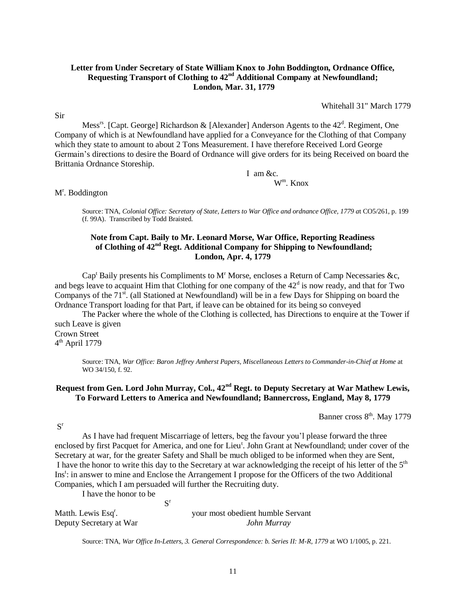# **Letter from Under Secretary of State William Knox to John Boddington, Ordnance Office, Requesting Transport of Clothing to 42nd Additional Company at Newfoundland; London, Mar. 31, 1779**

Whitehall 31" March 1779

Sir

Mess<sup>rs</sup>. [Capt. George] Richardson & [Alexander] Anderson Agents to the 42<sup>d</sup>. Regiment, One Company of which is at Newfoundland have applied for a Conveyance for the Clothing of that Company which they state to amount to about 2 Tons Measurement. I have therefore Received Lord George Germain's directions to desire the Board of Ordnance will give orders for its being Received on board the Brittania Ordnance Storeship.

> I am &c. W<sup>m</sup> . Knox

M<sup>r</sup>. Boddington

Source: TNA, *Colonial Office: Secretary of State, Letters to War Office and ordnance Office, 1779 a*t CO5/261, p. 199 (f. 99A). Transcribed by Todd Braisted.

# **Note from Capt. Baily to Mr. Leonard Morse, War Office, Reporting Readiness of Clothing of 42nd Regt. Additional Company for Shipping to Newfoundland; London, Apr. 4, 1779**

Cap<sup>t</sup> Baily presents his Compliments to M<sup>r</sup> Morse, encloses a Return of Camp Necessaries &c, and begs leave to acquaint Him that Clothing for one company of the  $42<sup>d</sup>$  is now ready, and that for Two Companys of the  $71<sup>st</sup>$ . (all Stationed at Newfoundland) will be in a few Days for Shipping on board the Ordnance Transport loading for that Part, if leave can be obtained for its being so conveyed

The Packer where the whole of the Clothing is collected, has Directions to enquire at the Tower if such Leave is given Crown Street

4<sup>th</sup> April 1779

Source: TNA, *War Office: Baron Jeffrey Amherst Papers, Miscellaneous Letters to Commander-in-Chief at Home* at WO 34/150, f. 92.

# **Request from Gen. Lord John Murray, Col., 42nd Regt. to Deputy Secretary at War Mathew Lewis, To Forward Letters to America and Newfoundland; Bannercross, England, May 8, 1779**

Banner cross  $8<sup>th</sup>$ . May 1779

S r

As I have had frequent Miscarriage of letters, beg the favour you'l please forward the three enclosed by first Pacquet for America, and one for Lieu<sup>t</sup>. John Grant at Newfoundland; under cover of the Secretary at war, for the greater Safety and Shall be much obliged to be informed when they are Sent, I have the honor to write this day to the Secretary at war acknowledging the receipt of his letter of the 5th Ins<sup>t</sup>: in answer to mine and Enclose the Arrangement I propose for the Officers of the two Additional Companies, which I am persuaded will further the Recruiting duty.

I have the honor to be

S r

Matth. Lewis Esq<sup>r</sup>.

. your most obedient humble Servant Deputy Secretary at War *John Murray*

Source: TNA, *War Office In-Letters, 3. General Correspondence: b. Series II: M-R, 1779* at WO 1/1005, p. 221.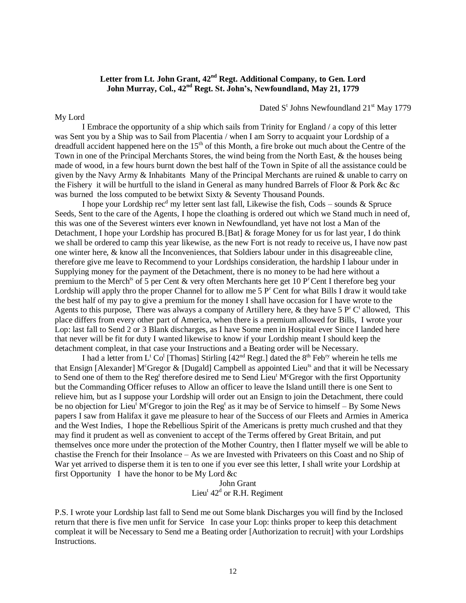# **Letter from Lt. John Grant, 42nd Regt. Additional Company, to Gen. Lord John Murray, Col., 42nd Regt. St. John's, Newfoundland, May 21, 1779**

Dated S<sup>t</sup> Johns Newfoundland 21<sup>st</sup> May 1779

I Embrace the opportunity of a ship which sails from Trinity for England / a copy of this letter was Sent you by a Ship was to Sail from Placentia / when I am Sorry to acquaint your Lordship of a dreadfull accident happened here on the 15<sup>th</sup> of this Month, a fire broke out much about the Centre of the Town in one of the Principal Merchants Stores, the wind being from the North East, & the houses being made of wood, in a few hours burnt down the best half of the Town in Spite of all the assistance could be given by the Navy Army & Inhabitants Many of the Principal Merchants are ruined & unable to carry on the Fishery it will be hurtfull to the island in General as many hundred Barrels of Floor & Pork &c &c was burned the loss computed to be betwixt Sixty & Seventy Thousand Pounds.

My Lord

I hope your Lordship rec<sup>d</sup> my letter sent last fall, Likewise the fish, Cods – sounds  $\&$  Spruce Seeds, Sent to the care of the Agents, I hope the cloathing is ordered out which we Stand much in need of, this was one of the Severest winters ever known in Newfoundland, yet have not lost a Man of the Detachment, I hope your Lordship has procured B.[Bat] & forage Money for us for last year, I do think we shall be ordered to camp this year likewise, as the new Fort is not ready to receive us, I have now past one winter here, & know all the Inconveniences, that Soldiers labour under in this disagreeable cline, therefore give me leave to Recommend to your Lordships consideration, the hardship I labour under in Supplying money for the payment of the Detachment, there is no money to be had here without a premium to the Merch<sup>ts</sup> of 5 per Cent & very often Merchants here get 10 P<sup>r</sup>Cent I therefore beg your Lordship will apply thro the proper Channel for to allow me  $5P<sup>r</sup>$  Cent for what Bills I draw it would take the best half of my pay to give a premium for the money I shall have occasion for I have wrote to the Agents to this purpose, There was always a company of Artillery here, & they have  $5P^rC^t$  allowed, This place differs from every other part of America, when there is a premium allowed for Bills, I wrote your Lop: last fall to Send 2 or 3 Blank discharges, as I have Some men in Hospital ever Since I landed here that never will be fit for duty I wanted likewise to know if your Lordship meant I should keep the detachment compleat, in that case your Instructions and a Beating order will be Necessary.

I had a letter from L<sup>t</sup> Co<sup>1</sup> [Thomas] Stirling [42<sup>nd</sup> Regt.] dated the 8<sup>th</sup> Feb<sup>ry</sup> wherein he tells me that Ensign [Alexander] M<sup>c</sup>Gregor & [Dugald] Campbell as appointed Lieu<sup>ts</sup> and that it will be Necessary to Send one of them to the Reg<sup>t</sup> therefore desired me to Send Lieu<sup>t</sup> M<sup>c</sup>Gregor with the first Opportunity but the Commanding Officer refuses to Allow an officer to leave the Island untill there is one Sent to relieve him, but as I suppose your Lordship will order out an Ensign to join the Detachment, there could be no objection for Lieu<sup>t</sup> M<sup>c</sup>Gregor to join the Reg<sup>t</sup> as it may be of Service to himself – By Some News papers I saw from Halifax it gave me pleasure to hear of the Success of our Fleets and Armies in America and the West Indies, I hope the Rebellious Spirit of the Americans is pretty much crushed and that they may find it prudent as well as convenient to accept of the Terms offered by Great Britain, and put themselves once more under the protection of the Mother Country, then I flatter myself we will be able to chastise the French for their Insolance – As we are Invested with Privateers on this Coast and no Ship of War yet arrived to disperse them it is ten to one if you ever see this letter, I shall write your Lordship at first Opportunity I have the honor to be My Lord &c

John Grant Lieu<sup>t</sup>  $42<sup>d</sup>$  or R.H. Regiment

P.S. I wrote your Lordship last fall to Send me out Some blank Discharges you will find by the Inclosed return that there is five men unfit for Service In case your Lop: thinks proper to keep this detachment compleat it will be Necessary to Send me a Beating order [Authorization to recruit] with your Lordships Instructions.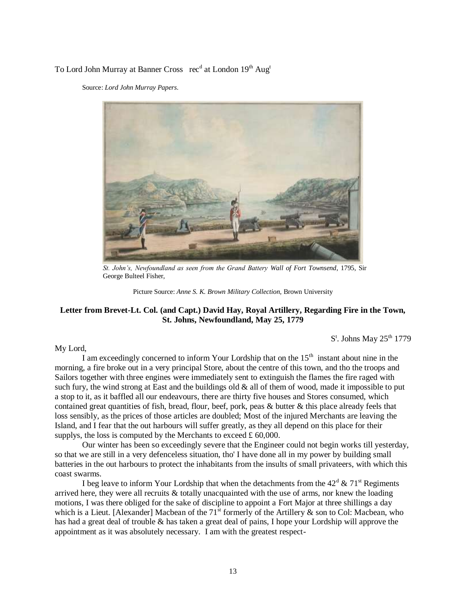# To Lord John Murray at Banner Cross rec<sup>d</sup> at London 19<sup>th</sup> Aug<sup>t</sup>

Source: *Lord John Murray Papers.*



*St. John's, Newfoundland as seen from the Grand Battery Wall of Fort Townsend*, 1795, Sir George Bulteel Fisher,

Picture Source: *Anne S. K. Brown Military Collection,* Brown University

### **Letter from Brevet-Lt. Col. (and Capt.) David Hay, Royal Artillery, Regarding Fire in the Town, St. Johns, Newfoundland, May 25, 1779**

 $S<sup>t</sup>$ . Johns May 25<sup>th</sup> 1779

My Lord,

I am exceedingly concerned to inform Your Lordship that on the  $15<sup>th</sup>$  instant about nine in the morning, a fire broke out in a very principal Store, about the centre of this town, and tho the troops and Sailors together with three engines were immediately sent to extinguish the flames the fire raged with such fury, the wind strong at East and the buildings old  $\&$  all of them of wood, made it impossible to put a stop to it, as it baffled all our endeavours, there are thirty five houses and Stores consumed, which contained great quantities of fish, bread, flour, beef, pork, peas & butter & this place already feels that loss sensibly, as the prices of those articles are doubled; Most of the injured Merchants are leaving the Island, and I fear that the out harbours will suffer greatly, as they all depend on this place for their supplys, the loss is computed by the Merchants to exceed  $\pounds$  60,000.

Our winter has been so exceedingly severe that the Engineer could not begin works till yesterday, so that we are still in a very defenceless situation, tho' I have done all in my power by building small batteries in the out harbours to protect the inhabitants from the insults of small privateers, with which this coast swarms.

I beg leave to inform Your Lordship that when the detachments from the  $42^d \& 71^s$  Regiments arrived here, they were all recruits  $\&$  totally unacquainted with the use of arms, nor knew the loading motions, I was there obliged for the sake of discipline to appoint a Fort Major at three shillings a day which is a Lieut. [Alexander] Macbean of the  $71<sup>st</sup>$  formerly of the Artillery & son to Col: Macbean, who has had a great deal of trouble & has taken a great deal of pains, I hope your Lordship will approve the appointment as it was absolutely necessary. I am with the greatest respect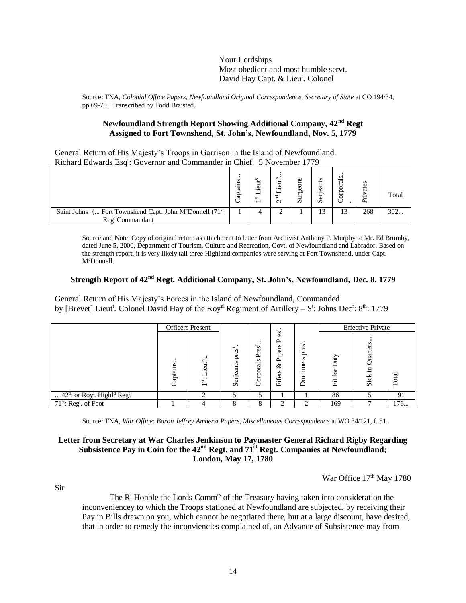Your Lordships Most obedient and most humble servt. David Hay Capt. & Lieu<sup>t</sup>. Colonel

Source: TNA, *Colonial Office Papers, Newfoundland Original Correspondence, Secretary of State* at CO 194/34, pp.69-70. Transcribed by Todd Braisted.

## **Newfoundland Strength Report Showing Additional Company, 42nd Regt Assigned to Fort Townshend, St. John's, Newfoundland, Nov. 5, 1779**

General Return of His Majesty's Troops in Garrison in the Island of Newfoundland. Richard Edwards Esq<sup>r</sup>: Governor and Commander in Chief. 5 November 1779

|                                                                                                                   | s<br>≂<br>ap | s<br>ω<br>in.<br>$\overline{\phantom{0}}$ | $\sim$ | s<br>ω<br>60<br>n | s<br>ã<br>$\boldsymbol{\mathsf{c}}$ | U.<br>ನ | d.  | Total |
|-------------------------------------------------------------------------------------------------------------------|--------------|-------------------------------------------|--------|-------------------|-------------------------------------|---------|-----|-------|
| Saint Johns { Fort Townshend Capt: John M <sup>c</sup> Donnell (71 <sup>st</sup> )<br>Reg <sup>t</sup> Commandant |              |                                           |        |                   | 13                                  | 13      | 268 | 302   |

Source and Note: Copy of original return as attachment to letter from Archivist Anthony P. Murphy to Mr. Ed Brumby, dated June 5, 2000, Department of Tourism, Culture and Recreation, Govt. of Newfoundland and Labrador. Based on the strength report, it is very likely tall three Highland companies were serving at Fort Townshend, under Capt. McDonnell.

# **Strength Report of 42nd Regt. Additional Company, St. John's, Newfoundland, Dec. 8. 1779**

General Return of His Majesty's Forces in the Island of Newfoundland, Commanded by [Brevet] Lieut<sup>t</sup>. Colonel David Hay of the Roy<sup>al</sup> Regiment of Artillery – S<sup>t</sup>: Johns Dec<sup>r</sup>: 8<sup>th</sup>: 1779

|                                                                               |           | <b>Officers</b> Present                       |                                  |                   | ت<br>s                              |                         | <b>Effective Private</b> |              |       |  |  |
|-------------------------------------------------------------------------------|-----------|-----------------------------------------------|----------------------------------|-------------------|-------------------------------------|-------------------------|--------------------------|--------------|-------|--|--|
|                                                                               | Japtains. | jeut <sup>is</sup> .<br>▬<br><sup>ist</sup> . | pres <sup>t</sup> .<br>Serjeants | Pres<br>Corporals | g<br>≏<br>Piper<br>ళ<br>s<br>Fifers | pres<br>ers<br>umm<br>Ā | for<br>置                 | .⊟<br>చ<br>沄 | Total |  |  |
| 42 <sup>d</sup> : or Roy <sup>l</sup> . Highl <sup>d</sup> Reg <sup>t</sup> . |           | ◠                                             |                                  | ς                 |                                     |                         | 86                       |              | 91    |  |  |
| 71 <sup>st</sup> : Reg <sup>t</sup> . of Foot                                 |           |                                               | 8                                | 8                 | ◠                                   | ◠                       | 169                      |              | 176   |  |  |

Source: TNA, *War Office: Baron Jeffrey Amherst Papers, Miscellaneous Correspondence* at WO 34/121, f. 51.

# **Letter from Secretary at War Charles Jenkinson to Paymaster General Richard Rigby Regarding Subsistence Pay in Coin for the 42nd Regt. and 71st Regt. Companies at Newfoundland; London, May 17, 1780**

War Office 17<sup>th</sup> May 1780

Sir

The  $R<sup>t</sup>$  Honble the Lords Comm<sup>rs</sup> of the Treasury having taken into consideration the inconveniencey to which the Troops stationed at Newfoundland are subjected, by receiving their Pay in Bills drawn on you, which cannot be negotiated there, but at a large discount, have desired, that in order to remedy the inconviencies complained of, an Advance of Subsistence may from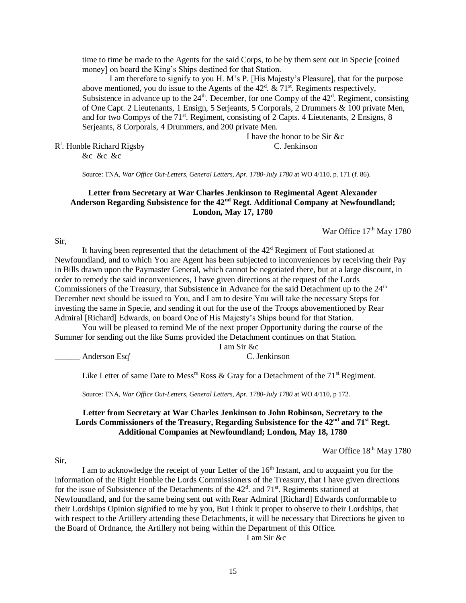time to time be made to the Agents for the said Corps, to be by them sent out in Specie [coined money] on board the King's Ships destined for that Station.

I am therefore to signify to you H. M's P. [His Majesty's Pleasure], that for the purpose above mentioned, you do issue to the Agents of the  $42<sup>d</sup>$ . &  $71<sup>st</sup>$ . Regiments respectively, Subsistence in advance up to the  $24<sup>th</sup>$ . December, for one Compy of the  $42<sup>d</sup>$ . Regiment, consisting of One Capt. 2 Lieutenants, 1 Ensign, 5 Serjeants, 5 Corporals, 2 Drummers & 100 private Men, and for two Compys of the  $71<sup>st</sup>$ . Regiment, consisting of 2 Capts. 4 Lieutenants, 2 Ensigns, 8 Serjeants, 8 Corporals, 4 Drummers, and 200 private Men.

I have the honor to be Sir &c R t . Honble Richard Rigsby C. Jenkinson

&c &c &c

Source: TNA, *War Office Out-Letters, General Letters, Apr. 1780-July 1780* at WO 4/110, p. 171 (f. 86).

# **Letter from Secretary at War Charles Jenkinson to Regimental Agent Alexander Anderson Regarding Subsistence for the 42nd Regt. Additional Company at Newfoundland; London, May 17, 1780**

War Office  $17<sup>th</sup>$  May 1780

Sir,

It having been represented that the detachment of the  $42<sup>d</sup>$  Regiment of Foot stationed at Newfoundland, and to which You are Agent has been subjected to inconveniences by receiving their Pay in Bills drawn upon the Paymaster General, which cannot be negotiated there, but at a large discount, in order to remedy the said inconveniences, I have given directions at the request of the Lords Commissioners of the Treasury, that Subsistence in Advance for the said Detachment up to the 24<sup>th</sup> December next should be issued to You, and I am to desire You will take the necessary Steps for investing the same in Specie, and sending it out for the use of the Troops abovementioned by Rear Admiral [Richard] Edwards, on board One of His Majesty's Ships bound for that Station.

You will be pleased to remind Me of the next proper Opportunity during the course of the Summer for sending out the like Sums provided the Detachment continues on that Station.

I am Sir &c

Anderson Esq<sup>r</sup> C. Jenkinson

Like Letter of same Date to Mess<sup>18</sup> Ross & Gray for a Detachment of the  $71<sup>st</sup>$  Regiment.

Source: TNA, *War Office Out-Letters, General Letters, Apr. 1780-July 1780* at WO 4/110, p 172.

#### **Letter from Secretary at War Charles Jenkinson to John Robinson, Secretary to the Lords Commissioners of the Treasury, Regarding Subsistence for the 42nd and 71st Regt. Additional Companies at Newfoundland; London, May 18, 1780**

War Office  $18^{\text{th}}$  May 1780

Sir,

I am to acknowledge the receipt of your Letter of the 16<sup>th</sup> Instant, and to acquaint you for the information of the Right Honble the Lords Commissioners of the Treasury, that I have given directions for the issue of Subsistence of the Detachments of the  $42<sup>d</sup>$ . and  $71<sup>st</sup>$ . Regiments stationed at Newfoundland, and for the same being sent out with Rear Admiral [Richard] Edwards conformable to their Lordships Opinion signified to me by you, But I think it proper to observe to their Lordships, that with respect to the Artillery attending these Detachments, it will be necessary that Directions be given to the Board of Ordnance, the Artillery not being within the Department of this Office.

I am Sir &c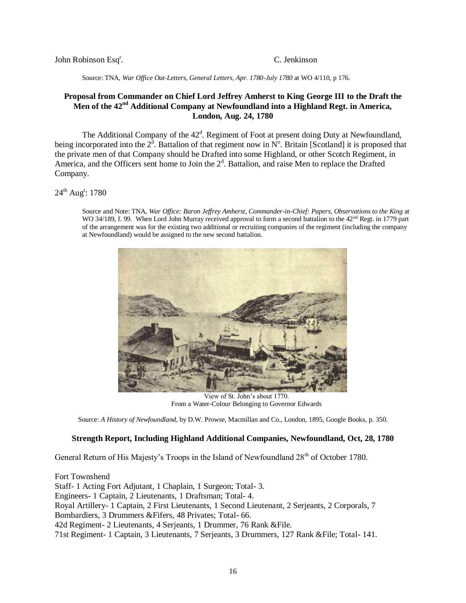John Robinson Esq<sup>r</sup>.

. C. Jenkinson

Source: TNA, *War Office Out-Letters, General Letters, Apr. 1780-July 1780* at WO 4/110, p 176.

# **Proposal from Commander on Chief Lord Jeffrey Amherst to King George III to the Draft the Men of the 42nd Additional Company at Newfoundland into a Highland Regt. in America, London, Aug. 24, 1780**

The Additional Company of the 42<sup>d</sup>. Regiment of Foot at present doing Duty at Newfoundland, being incorporated into the  $2^d$ . Battalion of that regiment now in  $N^o$ . Britain [Scotland] it is proposed that the private men of that Company should be Drafted into some Highland, or other Scotch Regiment, in America, and the Officers sent home to Join the  $2<sup>d</sup>$ . Battalion, and raise Men to replace the Drafted Company.

## 24<sup>th</sup> Aug<sup>t</sup>: 1780

Source and Note: TNA, *War Office: Baron Jeffrey Amherst, Commander-in-Chief: Papers, Observations to the King* at WO 34/189, f. 99. When Lord John Murray received approval to form a second battalion to the 42<sup>nd</sup> Regt. in 1779 part of the arrangement was for the existing two additional or recruiting companies of the regiment (including the company at Newfoundland) would be assigned to the new second battalion.



View of St. John's about 1770. From a Water-Colour Belonging to Governor Edwards

Source: *A History of Newfoundland*, by D.W. Prowse, Macmillan and Co., London, 1895, Google Books, p. 350.

## **Strength Report, Including Highland Additional Companies, Newfoundland, Oct, 28, 1780**

General Return of His Majesty's Troops in the Island of Newfoundland 28<sup>th</sup> of October 1780.

Fort Townshend Staff- 1 Acting Fort Adjutant, 1 Chaplain, 1 Surgeon; Total- 3. Engineers- 1 Captain, 2 Lieutenants, 1 Draftsman; Total- 4. Royal Artillery- 1 Captain, 2 First Lieutenants, 1 Second Lieutenant, 2 Serjeants, 2 Corporals, 7 Bombardiers, 3 Drummers &Fifers, 48 Privates; Total- 66. 42d Regiment- 2 Lieutenants, 4 Serjeants, 1 Drummer, 76 Rank &File. 71st Regiment- 1 Captain, 3 Lieutenants, 7 Serjeants, 3 Drummers, 127 Rank &File; Total- 141.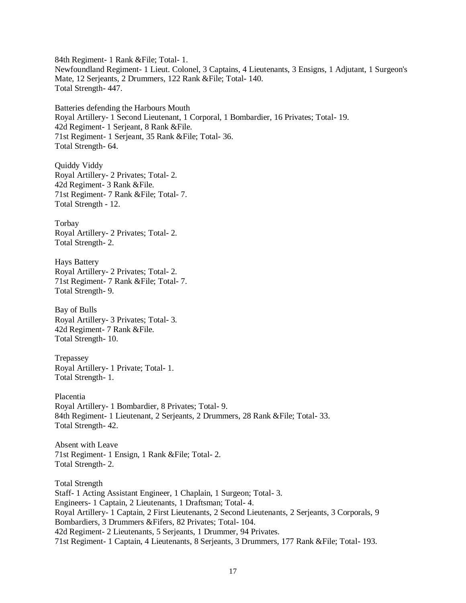84th Regiment- 1 Rank &File; Total- 1. Newfoundland Regiment- 1 Lieut. Colonel, 3 Captains, 4 Lieutenants, 3 Ensigns, 1 Adjutant, 1 Surgeon's Mate, 12 Serjeants, 2 Drummers, 122 Rank &File; Total- 140. Total Strength- 447.

Batteries defending the Harbours Mouth Royal Artillery- 1 Second Lieutenant, 1 Corporal, 1 Bombardier, 16 Privates; Total- 19. 42d Regiment- 1 Serjeant, 8 Rank &File. 71st Regiment- 1 Serjeant, 35 Rank &File; Total- 36. Total Strength- 64.

Quiddy Viddy Royal Artillery- 2 Privates; Total- 2. 42d Regiment- 3 Rank &File. 71st Regiment- 7 Rank &File; Total- 7. Total Strength - 12.

Torbay Royal Artillery- 2 Privates; Total- 2. Total Strength- 2.

Hays Battery Royal Artillery- 2 Privates; Total- 2. 71st Regiment- 7 Rank &File; Total- 7. Total Strength- 9.

Bay of Bulls Royal Artillery- 3 Privates; Total- 3. 42d Regiment- 7 Rank &File. Total Strength- 10.

Trepassey Royal Artillery- 1 Private; Total- 1. Total Strength- 1.

Placentia Royal Artillery- 1 Bombardier, 8 Privates; Total- 9. 84th Regiment- 1 Lieutenant, 2 Serjeants, 2 Drummers, 28 Rank &File; Total- 33. Total Strength- 42.

Absent with Leave 71st Regiment- 1 Ensign, 1 Rank &File; Total- 2. Total Strength- 2.

Total Strength Staff- 1 Acting Assistant Engineer, 1 Chaplain, 1 Surgeon; Total- 3. Engineers- 1 Captain, 2 Lieutenants, 1 Draftsman; Total- 4. Royal Artillery- 1 Captain, 2 First Lieutenants, 2 Second Lieutenants, 2 Serjeants, 3 Corporals, 9 Bombardiers, 3 Drummers &Fifers, 82 Privates; Total- 104. 42d Regiment- 2 Lieutenants, 5 Serjeants, 1 Drummer, 94 Privates. 71st Regiment- 1 Captain, 4 Lieutenants, 8 Serjeants, 3 Drummers, 177 Rank &File; Total- 193.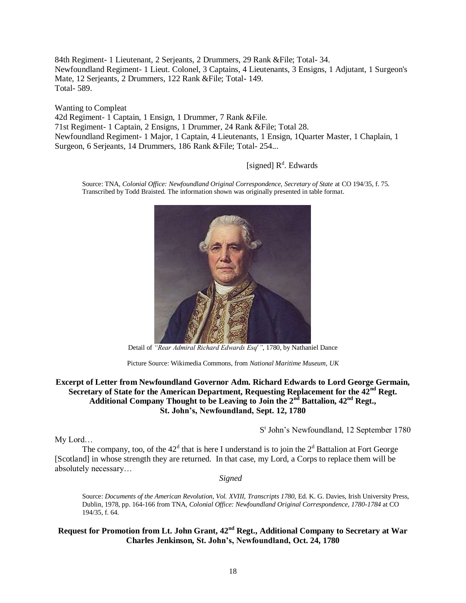84th Regiment- 1 Lieutenant, 2 Serjeants, 2 Drummers, 29 Rank &File; Total- 34. Newfoundland Regiment- 1 Lieut. Colonel, 3 Captains, 4 Lieutenants, 3 Ensigns, 1 Adjutant, 1 Surgeon's Mate, 12 Serjeants, 2 Drummers, 122 Rank &File; Total- 149. Total- 589.

Wanting to Compleat

42d Regiment- 1 Captain, 1 Ensign, 1 Drummer, 7 Rank &File. 71st Regiment- 1 Captain, 2 Ensigns, 1 Drummer, 24 Rank &File; Total 28. Newfoundland Regiment- 1 Major, 1 Captain, 4 Lieutenants, 1 Ensign, 1Quarter Master, 1 Chaplain, 1 Surgeon, 6 Serjeants, 14 Drummers, 186 Rank &File; Total- 254...

# [signed] R<sup>d</sup>. Edwards

Source: TNA, *Colonial Office: Newfoundland Original Correspondence, Secretary of State* at CO 194/35, f. 75. Transcribed by Todd Braisted. The information shown was originally presented in table format.



Detail of *"Rear Admiral Richard Edwards Esq<sup>r</sup>"*, 1780, by Nathaniel Dance

## **Excerpt of Letter from Newfoundland Governor Adm. Richard Edwards to Lord George Germain, Secretary of State for the American Department, Requesting Replacement for the 42nd Regt. Additional Company Thought to be Leaving to Join the 2nd Battalion, 42nd Regt., St. John's, Newfoundland, Sept. 12, 1780**

My Lord…

S<sup>t</sup> John's Newfoundland, 12 September 1780

The company, too, of the  $42<sup>d</sup>$  that is here I understand is to join the  $2<sup>d</sup>$  Battalion at Fort George [Scotland] in whose strength they are returned. In that case, my Lord, a Corps to replace them will be absolutely necessary…

*Signed*

Source: *Documents of the American Revolution, Vol. XVIII, Transcripts 1780*, Ed. K. G. Davies, Irish University Press, Dublin, 1978, pp. 164-166 from TNA, *Colonial Office: Newfoundland Original Correspondence, 1780-1784* at CO 194/35, f. 64.

# **Request for Promotion from Lt. John Grant, 42nd Regt., Additional Company to Secretary at War Charles Jenkinson, St. John's, Newfoundland, Oct. 24, 1780**

Picture Source: Wikimedia Commons, from *National Maritime Museum, UK*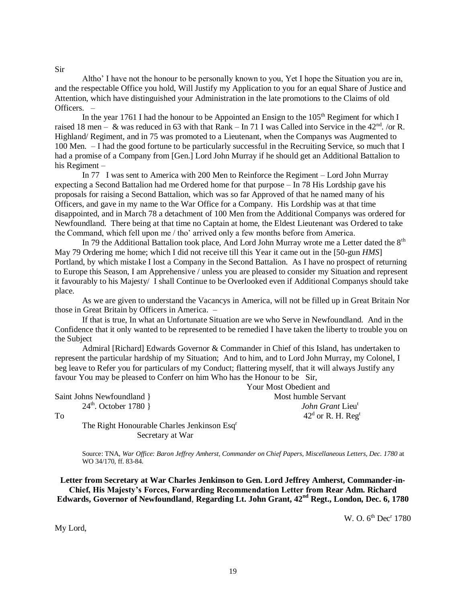#### Sir

Altho' I have not the honour to be personally known to you, Yet I hope the Situation you are in, and the respectable Office you hold, Will Justify my Application to you for an equal Share of Justice and Attention, which have distinguished your Administration in the late promotions to the Claims of old Officers. –

In the year 1761 I had the honour to be Appointed an Ensign to the  $105<sup>th</sup>$  Regiment for which I raised 18 men – & was reduced in 63 with that Rank – In 71 I was Called into Service in the 42<sup>nd</sup>. /or R. Highland/ Regiment, and in 75 was promoted to a Lieutenant, when the Companys was Augmented to 100 Men. – I had the good fortune to be particularly successful in the Recruiting Service, so much that I had a promise of a Company from [Gen.] Lord John Murray if he should get an Additional Battalion to his Regiment –

In 77 I was sent to America with 200 Men to Reinforce the Regiment – Lord John Murray expecting a Second Battalion had me Ordered home for that purpose – In 78 His Lordship gave his proposals for raising a Second Battalion, which was so far Approved of that he named many of his Officers, and gave in my name to the War Office for a Company. His Lordship was at that time disappointed, and in March 78 a detachment of 100 Men from the Additional Companys was ordered for Newfoundland. There being at that time no Captain at home, the Eldest Lieutenant was Ordered to take the Command, which fell upon me / tho' arrived only a few months before from America.

In 79 the Additional Battalion took place, And Lord John Murray wrote me a Letter dated the 8<sup>th</sup> May 79 Ordering me home; which I did not receive till this Year it came out in the [50-gun *HMS*] Portland, by which mistake I lost a Company in the Second Battalion. As I have no prospect of returning to Europe this Season, I am Apprehensive / unless you are pleased to consider my Situation and represent it favourably to his Majesty/ I shall Continue to be Overlooked even if Additional Companys should take place.

As we are given to understand the Vacancys in America, will not be filled up in Great Britain Nor those in Great Britain by Officers in America. –

If that is true, In what an Unfortunate Situation are we who Serve in Newfoundland. And in the Confidence that it only wanted to be represented to be remedied I have taken the liberty to trouble you on the Subject

Admiral [Richard] Edwards Governor & Commander in Chief of this Island, has undertaken to represent the particular hardship of my Situation; And to him, and to Lord John Murray, my Colonel, I beg leave to Refer you for particulars of my Conduct; flattering myself, that it will always Justify any favour You may be pleased to Conferr on him Who has the Honour to be Sir,

Saint Johns Newfoundland } Most humble Servant

Your Most Obedient and 24th. October 1780 } *John Grant* Lieu<sup>t</sup> To  $42^d$  $42<sup>d</sup>$  or R. H. Reg<sup>t</sup>

The Right Honourable Charles Jenkinson Esq<sup>r</sup> Secretary at War

Source: TNA, *War Office: Baron Jeffrey Amherst, Commander on Chief Papers, Miscellaneous Letters, Dec. 1780* at WO 34/170, ff. 83-84.

**Letter from Secretary at War Charles Jenkinson to Gen. Lord Jeffrey Amherst, Commander-in-Chief, His Majesty's Forces, Forwarding Recommendation Letter from Rear Adm. Richard Edwards, Governor of Newfoundland**, **Regarding Lt. John Grant, 42nd Regt., London, Dec. 6, 1780** 

W. O. 6<sup>th</sup> Dec<sup>r</sup> 1780

My Lord,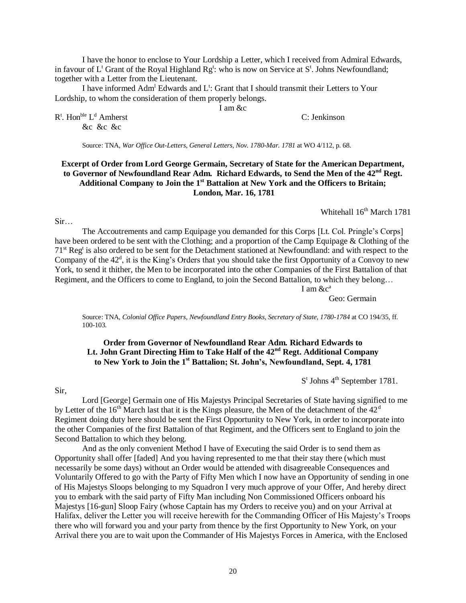I have the honor to enclose to Your Lordship a Letter, which I received from Admiral Edwards, in favour of  $L^t$  Grant of the Royal Highland  $Rg^t$ : who is now on Service at  $S^t$ . Johns Newfoundland; together with a Letter from the Lieutenant.

I have informed Adm<sup>1</sup> Edwards and L<sup>t</sup>: Grant that I should transmit their Letters to Your Lordship, to whom the consideration of them properly belongs.

I am &c

C: Jenkinson

 $R^t$ . Hon $^{ble}$  L &c &c &c

Source: TNA, *War Office Out-Letters, General Letters, Nov. 1780-Mar. 1781* at WO 4/112, p. 68.

# **Excerpt of Order from Lord George Germain, Secretary of State for the American Department, to Governor of Newfoundland Rear Adm. Richard Edwards, to Send the Men of the 42nd Regt. Additional Company to Join the 1st Battalion at New York and the Officers to Britain; London, Mar. 16, 1781**

Whitehall 16<sup>th</sup> March 1781

Sir…

The Accoutrements and camp Equipage you demanded for this Corps [Lt. Col. Pringle's Corps] have been ordered to be sent with the Clothing; and a proportion of the Camp Equipage & Clothing of the 71<sup>st</sup> Reg<sup>t</sup> is also ordered to be sent for the Detachment stationed at Newfoundland: and with respect to the Company of the  $42<sup>d</sup>$ , it is the King's Orders that you should take the first Opportunity of a Convoy to new York, to send it thither, the Men to be incorporated into the other Companies of the First Battalion of that Regiment, and the Officers to come to England, to join the Second Battalion, to which they belong…

I am  $&c^a$ 

Geo: Germain

Source: TNA, *Colonial Office Papers, Newfoundland Entry Books, Secretary of State, 1780-1784* at CO 194/35, ff. 100-103.

# **Order from Governor of Newfoundland Rear Adm. Richard Edwards to Lt. John Grant Directing Him to Take Half of the 42nd Regt. Additional Company to New York to Join the 1st Battalion; St. John's, Newfoundland, Sept. 4, 1781**

 $S<sup>t</sup>$  Johns  $4<sup>th</sup>$  September 1781.

Sir,

Lord [George] Germain one of His Majestys Principal Secretaries of State having signified to me by Letter of the  $16<sup>th</sup>$  March last that it is the Kings pleasure, the Men of the detachment of the  $42<sup>d</sup>$ Regiment doing duty here should be sent the First Opportunity to New York, in order to incorporate into the other Companies of the first Battalion of that Regiment, and the Officers sent to England to join the Second Battalion to which they belong.

And as the only convenient Method I have of Executing the said Order is to send them as Opportunity shall offer [faded] And you having represented to me that their stay there (which must necessarily be some days) without an Order would be attended with disagreeable Consequences and Voluntarily Offered to go with the Party of Fifty Men which I now have an Opportunity of sending in one of His Majestys Sloops belonging to my Squadron I very much approve of your Offer, And hereby direct you to embark with the said party of Fifty Man including Non Commissioned Officers onboard his Majestys [16-gun] Sloop Fairy (whose Captain has my Orders to receive you) and on your Arrival at Halifax, deliver the Letter you will receive herewith for the Commanding Officer of His Majesty's Troops there who will forward you and your party from thence by the first Opportunity to New York, on your Arrival there you are to wait upon the Commander of His Majestys Forces in America, with the Enclosed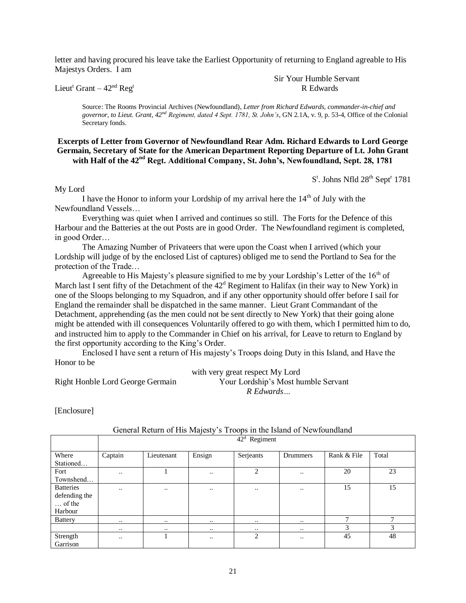letter and having procured his leave take the Earliest Opportunity of returning to England agreable to His Majestys Orders. I am

Lieut<sup>t</sup> Grant –  $42<sup>nd</sup>$  Reg<sup>t</sup>

Sir Your Humble Servant R Edwards

Source: The Rooms Provincial Archives (Newfoundland), *Letter from Richard Edwards, commander-in-chief and governor, to Lieut. Grant, 42nd Regiment, dated 4 Sept. 1781, St. John's*, GN 2.1A, v. 9, p. 53-4, Office of the Colonial Secretary fonds.

#### **Excerpts of Letter from Governor of Newfoundland Rear Adm. Richard Edwards to Lord George Germain, Secretary of State for the American Department Reporting Departure of Lt. John Grant with Half of the 42nd Regt. Additional Company, St. John's, Newfoundland, Sept. 28, 1781**

S<sup>t</sup>. Johns Nfld 28<sup>th</sup> Sept<sup>r</sup> 1781

My Lord

I have the Honor to inform your Lordship of my arrival here the  $14<sup>th</sup>$  of July with the Newfoundland Vessels…

Everything was quiet when I arrived and continues so still. The Forts for the Defence of this Harbour and the Batteries at the out Posts are in good Order. The Newfoundland regiment is completed, in good Order…

The Amazing Number of Privateers that were upon the Coast when I arrived (which your Lordship will judge of by the enclosed List of captures) obliged me to send the Portland to Sea for the protection of the Trade…

Agreeable to His Majesty's pleasure signified to me by your Lordship's Letter of the  $16<sup>th</sup>$  of March last I sent fifty of the Detachment of the  $42<sup>d</sup>$  Regiment to Halifax (in their way to New York) in one of the Sloops belonging to my Squadron, and if any other opportunity should offer before I sail for England the remainder shall be dispatched in the same manner. Lieut Grant Commandant of the Detachment, apprehending (as the men could not be sent directly to New York) that their going alone might be attended with ill consequences Voluntarily offered to go with them, which I permitted him to do, and instructed him to apply to the Commander in Chief on his arrival, for Leave to return to England by the first opportunity according to the King's Order.

Enclosed I have sent a return of His majesty's Troops doing Duty in this Island, and Have the Honor to be

with very great respect My Lord Right Honble Lord George Germain Your Lordship's Most humble Servant *R Edwards…*

[Enclosure]

|                  |                  | $42d$ Regiment |                     |                |               |              |              |  |  |  |  |  |  |  |
|------------------|------------------|----------------|---------------------|----------------|---------------|--------------|--------------|--|--|--|--|--|--|--|
|                  |                  |                |                     |                |               |              |              |  |  |  |  |  |  |  |
| Where            | Captain          | Lieutenant     | Ensign              | Serjeants      | Drummers      | Rank & File  | Total        |  |  |  |  |  |  |  |
| Stationed        |                  |                |                     |                |               |              |              |  |  |  |  |  |  |  |
| Fort             | $\cdot \cdot$    |                | $\ddotsc$           | $\overline{c}$ | $\ddotsc$     | 20           | 23           |  |  |  |  |  |  |  |
| Townshend        |                  |                |                     |                |               |              |              |  |  |  |  |  |  |  |
| <b>Batteries</b> | $\ddotsc$        | $\ddotsc$      | $\ddotsc$           | $\bullet$ .    |               | 15           | 15           |  |  |  |  |  |  |  |
| defending the    |                  |                |                     |                |               |              |              |  |  |  |  |  |  |  |
| $\ldots$ of the  |                  |                |                     |                |               |              |              |  |  |  |  |  |  |  |
| Harbour          |                  |                |                     |                |               |              |              |  |  |  |  |  |  |  |
| <b>Battery</b>   | $\bullet\bullet$ | $\ddotsc$      | $\bullet$ $\bullet$ | $\cdot \cdot$  | $\cdots$      | $\mathbf{r}$ | $\mathbf{r}$ |  |  |  |  |  |  |  |
|                  | $\cdot \cdot$    | $\ddotsc$      | $\ddotsc$           | $\cdots$       | $\cdot \cdot$ | 3            | 3            |  |  |  |  |  |  |  |
| Strength         | $\cdot$ .        |                | $\ddotsc$           | 2              | $\cdot$ .     | 45           | 48           |  |  |  |  |  |  |  |
| Garrison         |                  |                |                     |                |               |              |              |  |  |  |  |  |  |  |

# General Return of His Majesty's Troops in the Island of Newfoundland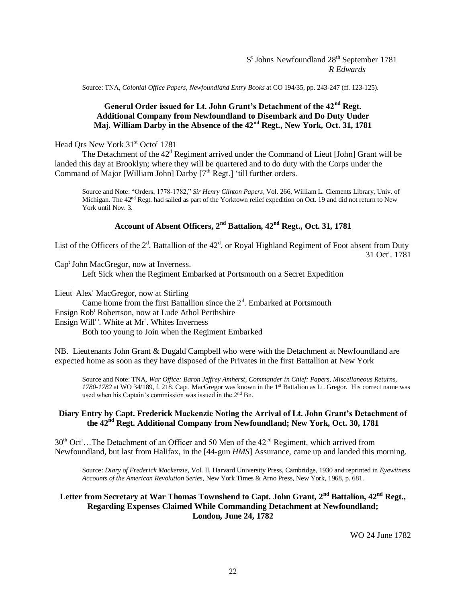#### S<sup>t</sup> Johns Newfoundland 28<sup>th</sup> September 1781 *R Edwards*

Source: TNA, *Colonial Office Papers, Newfoundland Entry Books* at CO 194/35, pp. 243-247 (ff. 123-125).

# **General Order issued for Lt. John Grant's Detachment of the 42nd Regt. Additional Company from Newfoundland to Disembark and Do Duty Under Maj. William Darby in the Absence of the 42nd Regt., New York, Oct. 31, 1781**

Head Qrs New York 31<sup>st</sup> Octo<sup>r</sup> 1781

The Detachment of the  $42<sup>d</sup>$  Regiment arrived under the Command of Lieut [John] Grant will be landed this day at Brooklyn; where they will be quartered and to do duty with the Corps under the Command of Major [William John] Darby  $[7<sup>th</sup>$  Regt.] 'till further orders.

Source and Note: "Orders, 1778-1782," *Sir Henry Clinton Papers*, Vol. 266, William L. Clements Library, Univ. of Michigan. The 42nd Regt. had sailed as part of the Yorktown relief expedition on Oct. 19 and did not return to New York until Nov. 3.

# **Account of Absent Officers, 2nd Battalion, 42nd Regt., Oct. 31, 1781**

List of the Officers of the  $2<sup>d</sup>$ . Battallion of the  $42<sup>d</sup>$ . or Royal Highland Regiment of Foot absent from Duty 31 Oct<sup>r</sup>. 1781

Cap<sup>t</sup> John MacGregor, now at Inverness.

Left Sick when the Regiment Embarked at Portsmouth on a Secret Expedition

Lieut<sup>t</sup> Alex<sup>r</sup> MacGregor, now at Stirling

Came home from the first Battallion since the  $2<sup>d</sup>$ . Embarked at Portsmouth Ensign Rob<sup>t</sup> Robertson, now at Lude Athol Perthshire

Ensign Will<sup>m</sup>. White at Mr<sup>s</sup>. Whites Inverness

Both too young to Join when the Regiment Embarked

NB. Lieutenants John Grant & Dugald Campbell who were with the Detachment at Newfoundland are expected home as soon as they have disposed of the Privates in the first Battallion at New York

Source and Note: TNA, *War Office: Baron Jeffrey Amherst, Commander in Chief: Papers, Miscellaneous Returns, 1780-1782* at WO 34/189, f. 218. Capt. MacGregor was known in the 1st Battalion as Lt. Gregor. His correct name was used when his Captain's commission was issued in the 2nd Bn.

### **Diary Entry by Capt. Frederick Mackenzie Noting the Arrival of Lt. John Grant's Detachment of the 42nd Regt. Additional Company from Newfoundland; New York, Oct. 30, 1781**

 $30<sup>th</sup>$  Oct<sup>r</sup>…The Detachment of an Officer and 50 Men of the 42<sup>ed</sup> Regiment, which arrived from Newfoundland, but last from Halifax, in the [44-gun *HMS*] Assurance, came up and landed this morning.

Source: *Diary of Frederick Mackenzie*, Vol. II, Harvard University Press, Cambridge, 1930 and reprinted in *Eyewitness Accounts of the American Revolution Series*, New York Times & Arno Press, New York, 1968, p. 681.

## **Letter from Secretary at War Thomas Townshend to Capt. John Grant, 2nd Battalion, 42nd Regt., Regarding Expenses Claimed While Commanding Detachment at Newfoundland; London, June 24, 1782**

WO 24 June 1782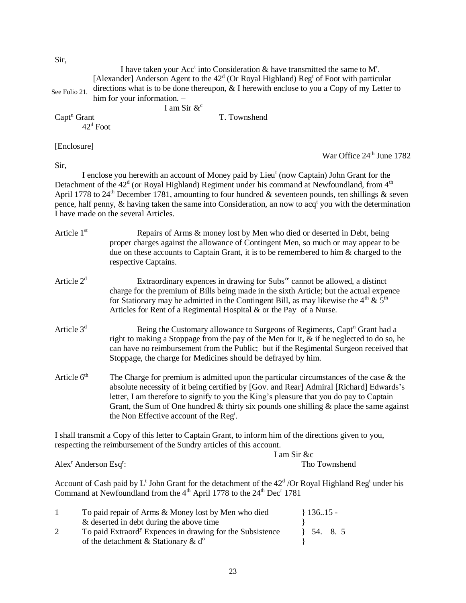Sir,

|                       | I have taken your Acc <sup>t</sup> into Consideration $\&$ have transmitted the same to M <sup>r</sup> .<br>[Alexander] Anderson Agent to the $42d$ (Or Royal Highland) Reg <sup>t</sup> of Foot with particular |
|-----------------------|------------------------------------------------------------------------------------------------------------------------------------------------------------------------------------------------------------------|
| See Folio 21.         | directions what is to be done thereupon, $\&$ I herewith enclose to you a Copy of my Letter to                                                                                                                   |
|                       | him for your information. -                                                                                                                                                                                      |
|                       | I am Sir $\&^{\circ}$                                                                                                                                                                                            |
| $\text{Capt}^n$ Grant | T. Townshend                                                                                                                                                                                                     |
|                       | $42^{\rm d}$ Foot                                                                                                                                                                                                |
| [Enclosure]           |                                                                                                                                                                                                                  |
|                       | War Office 24 <sup>th</sup> June 1782                                                                                                                                                                            |
| Sir,                  |                                                                                                                                                                                                                  |
|                       | I enclose you herewith an account of Money paid by Lieu <sup>t</sup> (now Captain) John Grant for the                                                                                                            |
|                       | Detachment of the $42d$ (or Royal Highland) Regiment under his command at Newfoundland, from $4th$                                                                                                               |
|                       | April 1778 to 24 <sup>th</sup> December 1781, amounting to four hundred & seventeen pounds, ten shillings & seven                                                                                                |
|                       | pence, half penny, & having taken the same into Consideration, an now to $acqt$ you with the determination                                                                                                       |
|                       | I have made on the several Articles                                                                                                                                                                              |
|                       |                                                                                                                                                                                                                  |

- Article 1<sup>st</sup> Repairs of Arms & money lost by Men who died or deserted in Debt, being proper charges against the allowance of Contingent Men, so much or may appear to be due on these accounts to Captain Grant, it is to be remembered to him & charged to the respective Captains.
- Article  $2<sup>d</sup>$  Extraordinary expences in drawing for Subs<sup>ce</sup> cannot be allowed, a distinct charge for the premium of Bills being made in the sixth Article; but the actual expence for Stationary may be admitted in the Contingent Bill, as may likewise the  $4<sup>th</sup> \& 5<sup>th</sup>$ Articles for Rent of a Regimental Hospital & or the Pay of a Nurse.
- Article  $3<sup>d</sup>$  Being the Customary allowance to Surgeons of Regiments, Capt<sup>n</sup> Grant had a right to making a Stoppage from the pay of the Men for it, & if he neglected to do so, he can have no reimbursement from the Public; but if the Regimental Surgeon received that Stoppage, the charge for Medicines should be defrayed by him.
- Article  $6<sup>th</sup>$  The Charge for premium is admitted upon the particular circumstances of the case  $\&$  the absolute necessity of it being certified by [Gov. and Rear] Admiral [Richard] Edwards's letter, I am therefore to signify to you the King's pleasure that you do pay to Captain Grant, the Sum of One hundred  $&$  thirty six pounds one shilling  $&$  place the same against the Non Effective account of the Reg<sup>t</sup>.

I shall transmit a Copy of this letter to Captain Grant, to inform him of the directions given to you, respecting the reimbursement of the Sundry articles of this account.

Alex<sup>r</sup> Anderson Esq<sup>r</sup>:

I am Sir &c : Tho Townshend

Account of Cash paid by  $L^t$  John Grant for the detachment of the  $42^d$  /Or Royal Highland Reg<sup>t</sup> under his Command at Newfoundland from the 4<sup>th</sup> April 1778 to the 24<sup>th</sup> Dec<sup>r</sup> 1781

| To paid repair of Arms & Money lost by Men who died                   | $\{13615-$             |
|-----------------------------------------------------------------------|------------------------|
| & deserted in debt during the above time                              |                        |
| To paid Extraord <sup>y</sup> Expences in drawing for the Subsistence | $\frac{1}{2}$ 54. 8. 5 |
| of the detachment $\&$ Stationary $\&$ d <sup>o</sup>                 |                        |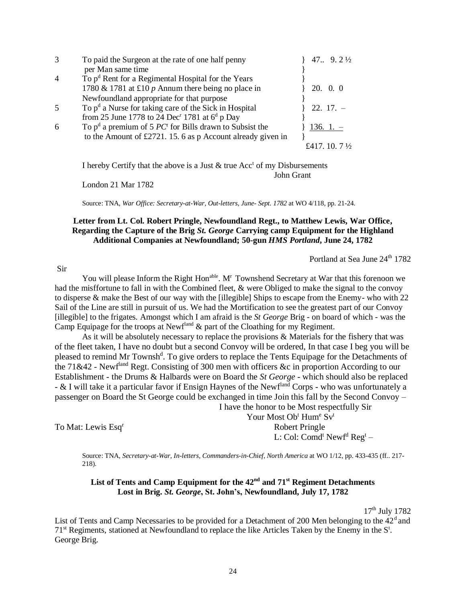| $\mathcal{R}$  | To paid the Surgeon at the rate of one half penny                                          | 47. 9. $2\frac{1}{2}$      |
|----------------|--------------------------------------------------------------------------------------------|----------------------------|
|                | per Man same time                                                                          |                            |
| $\overline{4}$ | To p <sup>d</sup> Rent for a Regimental Hospital for the Years                             |                            |
|                | 1780 & 1781 at £10 p Annum there being no place in                                         | $20. \quad 0. \quad 0$     |
|                | Newfoundland appropriate for that purpose                                                  |                            |
| .5             | To $pd$ a Nurse for taking care of the Sick in Hospital                                    | $22.17. -$                 |
|                | from 25 June 1778 to 24 Dec <sup>r</sup> 1781 at $6^d$ p Day                               |                            |
| 6              | To $p^d$ a premium of 5 <i>PC</i> <sup><math>t</math></sup> for Bills drawn to Subsist the | $136.1 -$                  |
|                | to the Amount of £2721. 15. 6 as p Account already given in                                |                            |
|                |                                                                                            | $7\frac{1}{2}$<br>£417.10. |

I hereby Certify that the above is a Just  $\&$  true Acc<sup>t</sup> of my Disbursements John Grant

London 21 Mar 1782

Source: TNA, *War Office: Secretary-at-War, Out-letters, June- Sept. 1782* at WO 4/118, pp. 21-24.

#### **Letter from Lt. Col. Robert Pringle, Newfoundland Regt., to Matthew Lewis, War Office, Regarding the Capture of the Brig** *St. George* **Carrying camp Equipment for the Highland Additional Companies at Newfoundland; 50-gun** *HMS Portland***, June 24, 1782**

Portland at Sea June 24<sup>th</sup> 1782

#### Sir

You will please Inform the Right Hon<sup>able</sup>. M<sup>r</sup> Townshend Secretary at War that this forenoon we had the misffortune to fall in with the Combined fleet, & were Obliged to make the signal to the convoy to disperse & make the Best of our way with the [illegible] Ships to escape from the Enemy- who with 22 Sail of the Line are still in pursuit of us. We had the Mortification to see the greatest part of our Convoy [illegible] to the frigates. Amongst which I am afraid is the *St George* Brig - on board of which - was the Camp Equipage for the troops at Newfland  $\&$  part of the Cloathing for my Regiment.

As it will be absolutely necessary to replace the provisions & Materials for the fishery that was of the fleet taken, I have no doubt but a second Convoy will be ordered, In that case I beg you will be pleased to remind Mr Townsh<sup>d</sup>. To give orders to replace the Tents Equipage for the Detachments of the 71&42 - Newfland Regt. Consisting of 300 men with officers &c in proportion According to our Establishment - the Drums & Halbards were on Board the *St George* - which should also be replaced - & I will take it a particular favor if Ensign Haynes of the Newfland Corps - who was unfortunately a passenger on Board the St George could be exchanged in time Join this fall by the Second Convoy –

I have the honor to be Most respectfully Sir

To Mat: Lewis Esq<sup>r</sup>

Your Most Ob<sup>t</sup> Hum<sup>e</sup> Sv<sup>t</sup> Robert Pringle L: Col:  $\text{Comd}^{\text{t}}$  New $\text{f}^{\text{d}}$  Reg $^{\text{t}}$  –

Source: TNA, *Secretary-at-War, In-letters, Commanders-in-Chief, North America* at WO 1/12, pp. 433-435 (ff.. 217- 218).

# **List of Tents and Camp Equipment for the 42nd and 71st Regiment Detachments Lost in Brig.** *St. George***, St. John's, Newfoundland, July 17, 1782**

 $17<sup>th</sup>$  July 1782

List of Tents and Camp Necessaries to be provided for a Detachment of 200 Men belonging to the  $42<sup>d</sup>$  and  $71<sup>st</sup>$  Regiments, stationed at Newfoundland to replace the like Articles Taken by the Enemy in the  $S<sup>t</sup>$ . George Brig.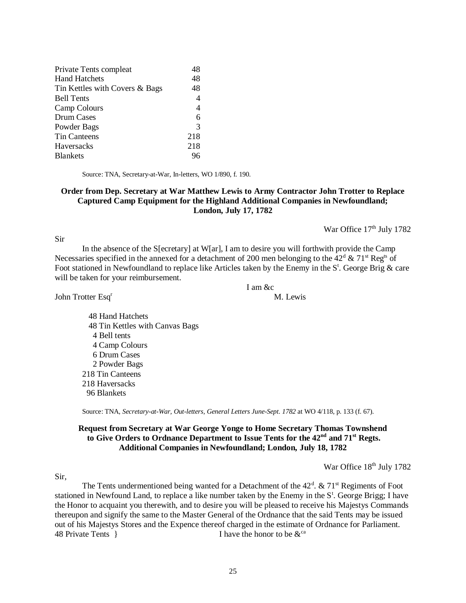| Private Tents compleat         | 48             |
|--------------------------------|----------------|
| <b>Hand Hatchets</b>           | 48             |
| Tin Kettles with Covers & Bags | 48             |
| <b>Bell Tents</b>              | $\overline{4}$ |
| Camp Colours                   | $\overline{4}$ |
| Drum Cases                     | 6              |
| Powder Bags                    | 3              |
| <b>Tin Canteens</b>            | 218            |
| Haversacks                     | 218            |
| <b>Blankets</b>                |                |
|                                |                |

Source: TNA, Secretary-at-War, In-letters, WO 1/890, f. 190.

#### **Order from Dep. Secretary at War Matthew Lewis to Army Contractor John Trotter to Replace Captured Camp Equipment for the Highland Additional Companies in Newfoundland; London, July 17, 1782**

War Office 17<sup>th</sup> July 1782

In the absence of the S[ecretary] at W[ar], I am to desire you will forthwith provide the Camp Necessaries specified in the annexed for a detachment of 200 men belonging to the  $42^d \& 71^{\text{st}}$  Reg<sup>ts</sup> of Foot stationed in Newfoundland to replace like Articles taken by the Enemy in the  $S^t$ . George Brig & care will be taken for your reimbursement.

I am &c

John Trotter Esq<sup>r</sup> M. Lewis

 48 Hand Hatchets 48 Tin Kettles with Canvas Bags 4 Bell tents 4 Camp Colours 6 Drum Cases 2 Powder Bags 218 Tin Canteens 218 Haversacks 96 Blankets

Source: TNA, *Secretary-at-War, Out-letters, General Letters June-Sept. 1782* at WO 4/118, p. 133 (f. 67).

#### **Request from Secretary at War George Yonge to Home Secretary Thomas Townshend to Give Orders to Ordnance Department to Issue Tents for the 42nd and 71st Regts. Additional Companies in Newfoundland; London, July 18, 1782**

War Office 18<sup>th</sup> July 1782

Sir,

Sir

The Tents undermentioned being wanted for a Detachment of the  $42<sup>d</sup>$ . &  $71<sup>st</sup>$  Regiments of Foot stationed in Newfound Land, to replace a like number taken by the Enemy in the  $S<sup>t</sup>$ . George Brigg; I have the Honor to acquaint you therewith, and to desire you will be pleased to receive his Majestys Commands thereupon and signify the same to the Master General of the Ordnance that the said Tents may be issued out of his Majestys Stores and the Expence thereof charged in the estimate of Ordnance for Parliament. 48 Private Tents  $\{48 \text{ Private Tests}\}$  I have the honor to be  $\&^{\text{ca}}$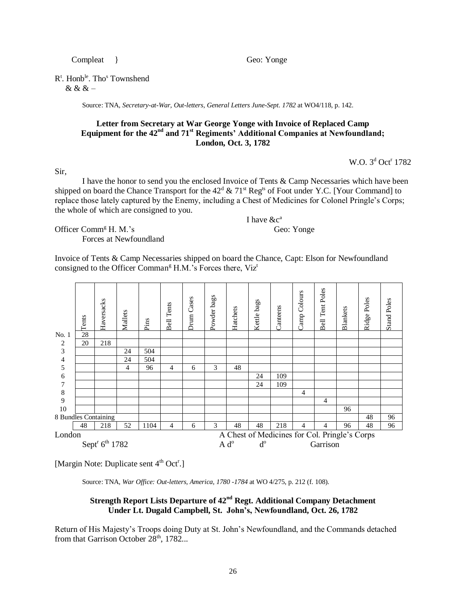Compleat } Geo: Yonge

R<sup>t</sup>. Honb<sup>le</sup>. Tho<sup>s</sup> Townshend

& & & –

Source: TNA, *Secretary-at-War, Out-letters, General Letters June-Sept. 1782* at WO4/118, p. 142.

## **Letter from Secretary at War George Yonge with Invoice of Replaced Camp Equipment for the 42nd and 71st Regiments' Additional Companies at Newfoundland; London, Oct. 3, 1782**

 $W.O. 3<sup>d</sup> Oct<sup>r</sup> 1782$ 

Sir,

I have the honor to send you the enclosed Invoice of Tents & Camp Necessaries which have been shipped on board the Chance Transport for the  $42^d \& 71^{\text{st}}$  Reg<sup>ts</sup> of Foot under Y.C. [Your Command] to replace those lately captured by the Enemy, including a Chest of Medicines for Colonel Pringle's Corps; the whole of which are consigned to you.

I have  $&c^a$ 

Officer Comm<sup>g</sup> H. M.'s Geo: Yonge Forces at Newfoundland

Invoice of Tents & Camp Necessaries shipped on board the Chance, Capt: Elson for Newfoundland consigned to the Officer Comman<sup>g</sup> H.M.'s Forces there, Viz<sup>t</sup>

|                                        | Tents | Haversacks | Mallets | Pins | <b>Bell Tents</b> | Drum Cases | Powder bags | Hatchets      | Kettle bags | Canteens | Camp Colours | <b>Bell Tent Poles</b> | Blankets                                      | Poles<br>Ridge J | <b>Stand Poles</b> |
|----------------------------------------|-------|------------|---------|------|-------------------|------------|-------------|---------------|-------------|----------|--------------|------------------------|-----------------------------------------------|------------------|--------------------|
| No. 1                                  | 28    |            |         |      |                   |            |             |               |             |          |              |                        |                                               |                  |                    |
| 2                                      | 20    | 218        |         |      |                   |            |             |               |             |          |              |                        |                                               |                  |                    |
| 3                                      |       |            | 24      | 504  |                   |            |             |               |             |          |              |                        |                                               |                  |                    |
| $\overline{4}$                         |       |            | 24      | 504  |                   |            |             |               |             |          |              |                        |                                               |                  |                    |
| 5                                      |       |            | 4       | 96   | 4                 | 6          | 3           | 48            |             |          |              |                        |                                               |                  |                    |
| 6                                      |       |            |         |      |                   |            |             |               | 24          | 109      |              |                        |                                               |                  |                    |
| 7                                      |       |            |         |      |                   |            |             |               | 24          | 109      |              |                        |                                               |                  |                    |
| 8                                      |       |            |         |      |                   |            |             |               |             |          | 4            |                        |                                               |                  |                    |
| 9                                      |       |            |         |      |                   |            |             |               |             |          |              | 4                      |                                               |                  |                    |
| 10                                     |       |            |         |      |                   |            |             |               |             |          |              |                        | 96                                            |                  |                    |
| 8 Bundles Containing                   |       |            |         |      |                   |            |             |               |             |          |              |                        |                                               | 48               | 96                 |
|                                        | 48    | 218        | 52      | 1104 | $\overline{4}$    | 6          | 3           | 48            | 48          | 218      | 4            | 4                      | 96                                            | 48               | 96                 |
| London                                 |       |            |         |      |                   |            |             |               |             |          |              |                        | A Chest of Medicines for Col. Pringle's Corps |                  |                    |
| Sept <sup>r</sup> 6 <sup>th</sup> 1782 |       |            |         |      |                   |            |             | $A d^{\circ}$ | $d^{\rm o}$ |          |              | Garrison               |                                               |                  |                    |

[Margin Note: Duplicate sent 4<sup>th</sup> Oct<sup>r</sup>.]

Source: TNA, *War Office: Out-letters, America, 1780 -1784* at WO 4/275, p. 212 (f. 108).

# **Strength Report Lists Departure of 42nd Regt. Additional Company Detachment Under Lt. Dugald Campbell, St. John's, Newfoundland, Oct. 26, 1782**

Return of His Majesty's Troops doing Duty at St. John's Newfoundland, and the Commands detached from that Garrison October  $28<sup>th</sup>$ , 1782...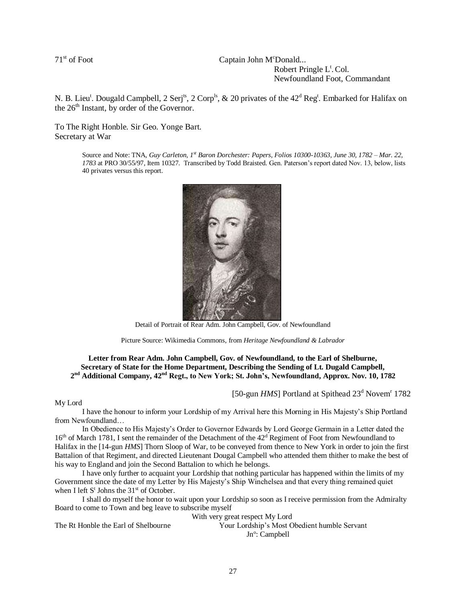71<sup>st</sup> of Foot Captain John M<sup>c</sup>Donald... Robert Pringle L<sup>t</sup>. Col. Newfoundland Foot, Commandant

N. B. Lieu<sup>t</sup>. Dougald Campbell, 2 Serj<sup>ts</sup>, 2 Corp<sup>ls</sup>, & 20 privates of the 42<sup>d</sup> Reg<sup>t</sup>. Embarked for Halifax on the 26<sup>th</sup> Instant, by order of the Governor.

To The Right Honble. Sir Geo. Yonge Bart. Secretary at War

> Source and Note: TNA, *Guy Carleton, 1st Baron Dorchester: Papers, Folios 10300-10363, June 30, 1782 – Mar. 22, 1783* at PRO 30/55/97, Item 10327. Transcribed by Todd Braisted. Gen. Paterson's report dated Nov. 13, below, lists 40 privates versus this report.



Detail of Portrait of Rear Adm. John Campbell, Gov. of Newfoundland

Picture Source: Wikimedia Commons, from *Heritage Newfoundland & Labrador*

#### **Letter from Rear Adm. John Campbell, Gov. of Newfoundland, to the Earl of Shelburne, Secretary of State for the Home Department, Describing the Sending of Lt. Dugald Campbell, 2 nd Additional Company, 42nd Regt., to New York; St. John's, Newfoundland, Approx. Nov. 10, 1782**

[50-gun *HMS*] Portland at Spithead 23<sup>d</sup> Novem<sup>r</sup> 1782

My Lord

I have the honour to inform your Lordship of my Arrival here this Morning in His Majesty's Ship Portland from Newfoundland…

In Obedience to His Majesty's Order to Governor Edwards by Lord George Germain in a Letter dated the  $16<sup>th</sup>$  of March 1781, I sent the remainder of the Detachment of the  $42<sup>d</sup>$  Regiment of Foot from Newfoundland to Halifax in the [14-gun *HMS*] Thorn Sloop of War, to be conveyed from thence to New York in order to join the first Battalion of that Regiment, and directed Lieutenant Dougal Campbell who attended them thither to make the best of his way to England and join the Second Battalion to which he belongs.

I have only further to acquaint your Lordship that nothing particular has happened within the limits of my Government since the date of my Letter by His Majesty's Ship Winchelsea and that every thing remained quiet when I left S<sup>t</sup> Johns the 31<sup>st</sup> of October.

I shall do myself the honor to wait upon your Lordship so soon as I receive permission from the Admiralty Board to come to Town and beg leave to subscribe myself

With very great respect My Lord

The Rt Honble the Earl of Shelbourne Your Lordship's Most Obedient humble Servant Jn<sup>o</sup>: Campbell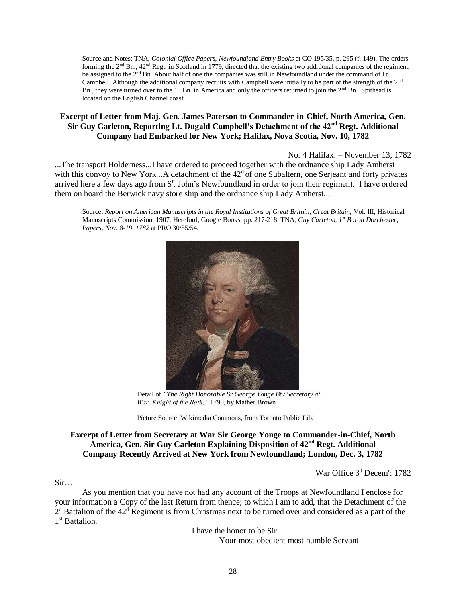Source and Notes: TNA, *Colonial Office Papers, Newfoundland Entry Books* at CO 195/35, p. 295 (f. 149). The orders forming the  $2<sup>nd</sup>$  Bn.,  $42<sup>nd</sup>$  Regt. in Scotland in 1779, directed that the existing two additional companies of the regiment, be assigned to the  $2<sup>nd</sup>$  Bn. About half of one the companies was still in Newfoundland under the command of Lt. Campbell. Although the additional company recruits with Campbell were initially to be part of the strength of the 2nd Bn., they were turned over to the 1<sup>st</sup> Bn. in America and only the officers returned to join the  $2<sup>nd</sup>$  Bn. Spithead is located on the English Channel coast.

# **Excerpt of Letter from Maj. Gen. James Paterson to Commander-in-Chief, North America, Gen. Sir Guy Carleton, Reporting Lt. Dugald Campbell's Detachment of the 42nd Regt. Additional Company had Embarked for New York; Halifax, Nova Scotia, Nov. 10, 1782**

No. 4 Halifax. – November 13, 1782

...The transport Holderness...I have ordered to proceed together with the ordnance ship Lady Amherst with this convoy to New York...A detachment of the  $42<sup>d</sup>$  of one Subaltern, one Serjeant and forty privates arrived here a few days ago from S<sup>t</sup>. John's Newfoundland in order to join their regiment. I have ordered them on board the Berwick navy store ship and the ordnance ship Lady Amherst...

Source: *Report on American Manuscripts in the Royal Institutions of Great Britain, Great Britain,* Vol. III, Historical Manuscripts Commission, 1907, Hereford, Google Books, pp. 217-218. TNA, *Guy Carleton, 1st Baron Dorchester; Papers, Nov. 8-19, 1782* at PRO 30/55/54.



Detail of *"The Right Honorable Sr George Yonge Bt / Secretary at War, Knight of the Bath,"* 1790, by Mather Brown

Picture Source: Wikimedia Commons, from Toronto Public Lib.

# **Excerpt of Letter from Secretary at War Sir George Yonge to Commander-in-Chief, North America, Gen. Sir Guy Carleton Explaining Disposition of 42nd Regt. Additional Company Recently Arrived at New York from Newfoundland; London, Dec. 3, 1782**

War Office 3<sup>d</sup> Decem<sup>r</sup>: 1782

#### Sir…

As you mention that you have not had any account of the Troops at Newfoundland I enclose for your information a Copy of the last Return from thence; to which I am to add, that the Detachment of the  $2<sup>d</sup>$  Battalion of the  $42<sup>d</sup>$  Regiment is from Christmas next to be turned over and considered as a part of the 1<sup>st</sup> Battalion.

> I have the honor to be Sir Your most obedient most humble Servant